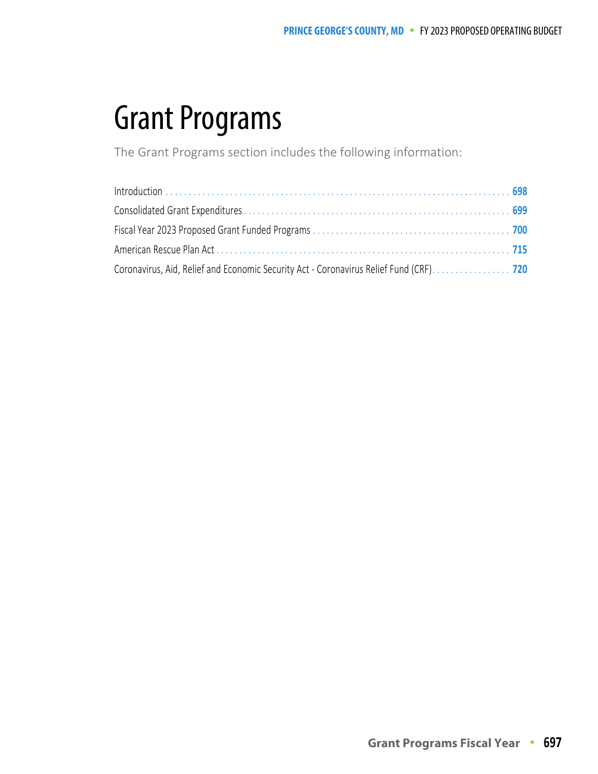The Grant Programs section includes the following information: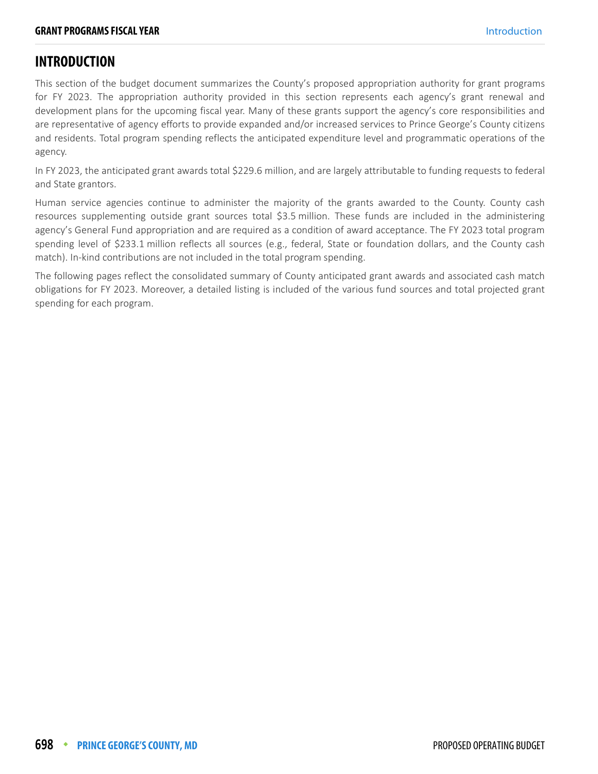#### <span id="page-1-0"></span>**INTRODUCTION**

This section of the budget document summarizes the County's proposed appropriation authority for grant programs for FY 2023. The appropriation authority provided in this section represents each agency's grant renewal and development plans for the upcoming fiscal year. Many of these grants support the agency's core responsibilities and are representative of agency efforts to provide expanded and/or increased services to Prince George's County citizens and residents. Total program spending reflects the anticipated expenditure level and programmatic operations of the agency.

In FY 2023, the anticipated grant awards total \$229.6 million, and are largely attributable to funding requests to federal and State grantors.

Human service agencies continue to administer the majority of the grants awarded to the County. County cash resources supplementing outside grant sources total \$3.5 million. These funds are included in the administering agency's General Fund appropriation and are required as a condition of award acceptance. The FY 2023 total program spending level of \$233.1 million reflects all sources (e.g., federal, State or foundation dollars, and the County cash match). In-kind contributions are not included in the total program spending.

The following pages reflect the consolidated summary of County anticipated grant awards and associated cash match obligations for FY 2023. Moreover, a detailed listing is included of the various fund sources and total projected grant spending for each program.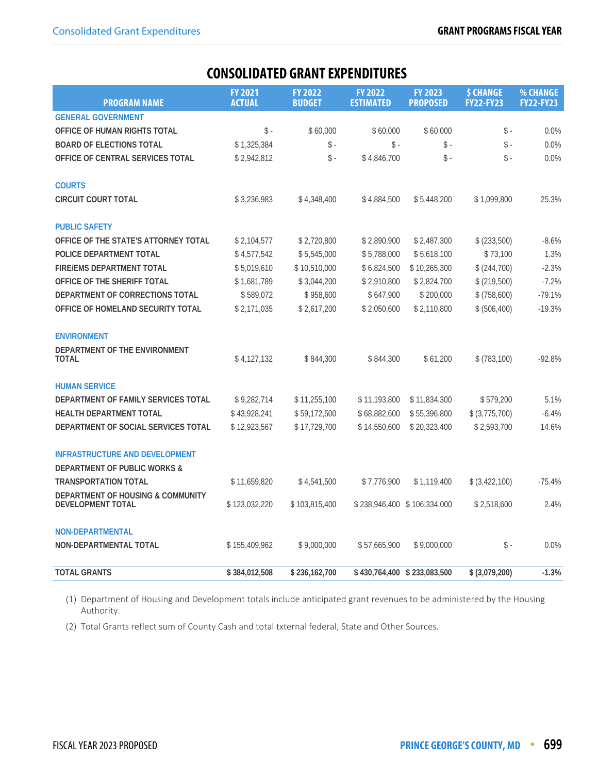<span id="page-2-0"></span>

| <b>PROGRAM NAME</b>                                           | <b>FY 2021</b><br><b>ACTUAL</b> | <b>FY 2022</b><br><b>BUDGET</b> | <b>FY 2022</b><br><b>ESTIMATED</b> | <b>FY 2023</b><br><b>PROPOSED</b> | <b>\$ CHANGE</b><br><b>FY22-FY23</b> | % CHANGE<br><b>FY22-FY23</b> |
|---------------------------------------------------------------|---------------------------------|---------------------------------|------------------------------------|-----------------------------------|--------------------------------------|------------------------------|
| <b>GENERAL GOVERNMENT</b>                                     |                                 |                                 |                                    |                                   |                                      |                              |
| OFFICE OF HUMAN RIGHTS TOTAL                                  | $\frac{1}{2}$ -                 | \$60,000                        | \$60,000                           | \$60,000                          | $\mathsf{\$}$ -                      | 0.0%                         |
| <b>BOARD OF ELECTIONS TOTAL</b>                               | \$1,325,384                     | \$ -                            | \$ -                               | \$ -                              | $\$ -                                | 0.0%                         |
| OFFICE OF CENTRAL SERVICES TOTAL                              | \$2,942,812                     | $\$ -                           | \$4,846,700                        | \$-                               | $\frac{1}{2}$ -                      | 0.0%                         |
| <b>COURTS</b>                                                 |                                 |                                 |                                    |                                   |                                      |                              |
| <b>CIRCUIT COURT TOTAL</b>                                    | \$3,236,983                     | \$4,348,400                     | \$4,884,500                        | \$5,448,200                       | \$1,099,800                          | 25.3%                        |
| <b>PUBLIC SAFETY</b>                                          |                                 |                                 |                                    |                                   |                                      |                              |
| OFFICE OF THE STATE'S ATTORNEY TOTAL                          | \$2,104,577                     | \$2,720,800                     | \$2,890,900                        | \$2,487,300                       | \$ (233,500)                         | $-8.6%$                      |
| POLICE DEPARTMENT TOTAL                                       | \$4,577,542                     | \$5,545,000                     | \$5,788,000                        | \$5,618,100                       | \$73,100                             | 1.3%                         |
| <b>FIRE/EMS DEPARTMENT TOTAL</b>                              | \$5,019,610                     | \$10,510,000                    | \$6,824,500                        | \$10,265,300                      | \$ (244,700)                         | $-2.3%$                      |
| OFFICE OF THE SHERIFF TOTAL                                   | \$1,681,789                     | \$3,044,200                     | \$2,910,800                        | \$2,824,700                       | \$ (219,500)                         | $-7.2%$                      |
| DEPARTMENT OF CORRECTIONS TOTAL                               | \$589,072                       | \$958,600                       | \$647,900                          | \$200,000                         | \$ (758,600)                         | $-79.1%$                     |
| OFFICE OF HOMELAND SECURITY TOTAL                             | \$2,171,035                     | \$2,617,200                     | \$2,050,600                        | \$2,110,800                       | \$ (506, 400)                        | $-19.3%$                     |
| <b>ENVIRONMENT</b>                                            |                                 |                                 |                                    |                                   |                                      |                              |
| DEPARTMENT OF THE ENVIRONMENT<br>TOTAL                        | \$4,127,132                     | \$844,300                       | \$844,300                          | \$61,200                          | \$ (783, 100)                        | $-92.8%$                     |
| <b>HUMAN SERVICE</b>                                          |                                 |                                 |                                    |                                   |                                      |                              |
| DEPARTMENT OF FAMILY SERVICES TOTAL                           | \$9,282,714                     | \$11,255,100                    | \$11,193,800                       | \$11,834,300                      | \$579,200                            | 5.1%                         |
| <b>HEALTH DEPARTMENT TOTAL</b>                                | \$43,928,241                    | \$59,172,500                    | \$68,882,600                       | \$55,396,800                      | $$$ (3,775,700)                      | $-6.4%$                      |
| DEPARTMENT OF SOCIAL SERVICES TOTAL                           | \$12,923,567                    | \$17,729,700                    | \$14,550,600                       | \$20,323,400                      | \$2,593,700                          | 14.6%                        |
| <b>INFRASTRUCTURE AND DEVELOPMENT</b>                         |                                 |                                 |                                    |                                   |                                      |                              |
| <b>DEPARTMENT OF PUBLIC WORKS &amp;</b>                       |                                 |                                 |                                    |                                   |                                      |                              |
| <b>TRANSPORTATION TOTAL</b>                                   | \$11,659,820                    | \$4,541,500                     | \$7,776,900                        | \$1,119,400                       | \$ (3,422,100)                       | $-75.4%$                     |
| DEPARTMENT OF HOUSING & COMMUNITY<br><b>DEVELOPMENT TOTAL</b> | \$123,032,220                   | \$103,815,400                   |                                    | \$238,946,400 \$106,334,000       | \$2,518,600                          | 2.4%                         |
| <b>NON-DEPARTMENTAL</b>                                       |                                 |                                 |                                    |                                   |                                      |                              |
| NON-DEPARTMENTAL TOTAL                                        | \$155,409,962                   | \$9,000,000                     | \$57,665,900                       | \$9,000,000                       | \$ -                                 | 0.0%                         |
| <b>TOTAL GRANTS</b>                                           | \$384,012,508                   | \$236,162,700                   |                                    | \$430,764,400 \$233,083,500       | \$ (3,079,200)                       | $-1.3%$                      |

(1) Department of Housing and Development totals include anticipated grant revenues to be administered by the Housing Authority.

(2) Total Grants reflect sum of County Cash and total txternal federal, State and Other Sources.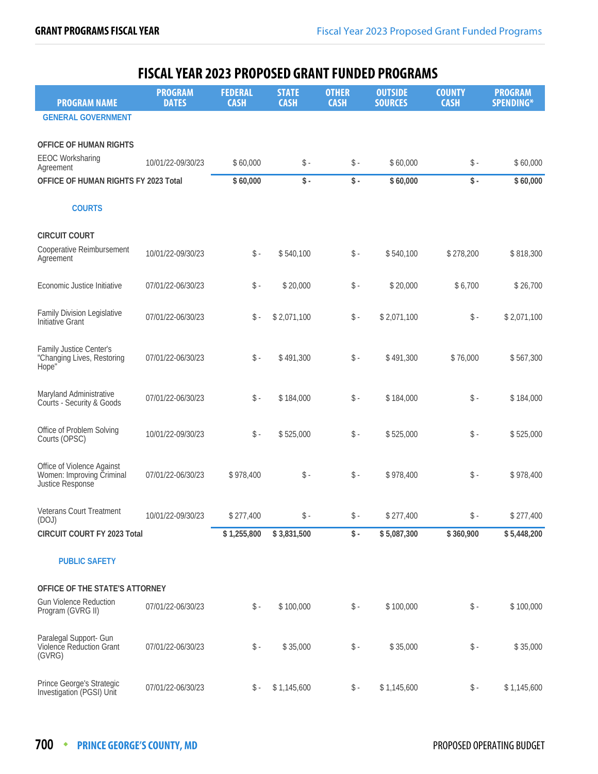<span id="page-3-0"></span>

|                                                                             | <u>FIJLAL ILAN ZVZJ FNVFVJLV UNANI FUNVLV FNVUNAMJ</u> |                               |                             |                             |                                  |                              |                                    |
|-----------------------------------------------------------------------------|--------------------------------------------------------|-------------------------------|-----------------------------|-----------------------------|----------------------------------|------------------------------|------------------------------------|
| <b>PROGRAM NAME</b>                                                         | <b>PROGRAM</b><br><b>DATES</b>                         | <b>FEDERAL</b><br><b>CASH</b> | <b>STATE</b><br><b>CASH</b> | <b>OTHER</b><br><b>CASH</b> | <b>OUTSIDE</b><br><b>SOURCES</b> | <b>COUNTY</b><br><b>CASH</b> | <b>PROGRAM</b><br><b>SPENDING*</b> |
| <b>GENERAL GOVERNMENT</b>                                                   |                                                        |                               |                             |                             |                                  |                              |                                    |
| OFFICE OF HUMAN RIGHTS                                                      |                                                        |                               |                             |                             |                                  |                              |                                    |
| <b>EEOC Worksharing</b><br>Agreement                                        | 10/01/22-09/30/23                                      | \$60,000                      | $\$ -                       | $\frac{1}{2}$ -             | \$60,000                         | $\$ -                        | \$60,000                           |
| OFFICE OF HUMAN RIGHTS FY 2023 Total                                        |                                                        | \$60,000                      | \$-                         | $\mathsf S$ -               | \$60,000                         | \$-                          | \$60,000                           |
| <b>COURTS</b>                                                               |                                                        |                               |                             |                             |                                  |                              |                                    |
|                                                                             |                                                        |                               |                             |                             |                                  |                              |                                    |
| <b>CIRCUIT COURT</b>                                                        |                                                        |                               |                             |                             |                                  |                              |                                    |
| Cooperative Reimbursement<br>Agreement                                      | 10/01/22-09/30/23                                      | $\$ -                         | \$540,100                   | $\$ -                       | \$540,100                        | \$278,200                    | \$818,300                          |
| Economic Justice Initiative                                                 | 07/01/22-06/30/23                                      | $\$ -                         | \$20,000                    | $\$ -                       | \$20,000                         | \$6,700                      | \$26,700                           |
| <b>Family Division Legislative</b><br>Initiative Grant                      | 07/01/22-06/30/23                                      | $\$ -                         | \$2,071,100                 | $\$ -                       | \$2,071,100                      | $\$ -                        | \$2,071,100                        |
| Family Justice Center's<br>"Changing Lives, Restoring<br>Hope"              | 07/01/22-06/30/23                                      | $\mathsf{\$}$ -               | \$491,300                   | $\mathsf S$ -               | \$491,300                        | \$76,000                     | \$567,300                          |
| Maryland Administrative<br>Courts - Security & Goods                        | 07/01/22-06/30/23                                      | $\mathsf{\$}$ -               | \$184,000                   | $\mathsf S$ -               | \$184,000                        | $\$ -                        | \$184,000                          |
| Office of Problem Solving<br>Courts (OPSC)                                  | 10/01/22-09/30/23                                      | $\mathsf{\$}$ -               | \$525,000                   | $\mathsf S$ -               | \$525,000                        | $\$ -                        | \$525,000                          |
| Office of Violence Against<br>Women: Improving Criminal<br>Justice Response | 07/01/22-06/30/23                                      | \$978,400                     | $\mathsf{\$}$ -             | $\mathsf S$ -               | \$978,400                        | $\$ -                        | \$978,400                          |
| Veterans Court Treatment<br>(DOJ)                                           | 10/01/22-09/30/23                                      | \$277,400                     | $\$ -                       | $\$ -                       | \$277,400                        | $\$ -                        | \$277,400                          |
| CIRCUIT COURT FY 2023 Total                                                 |                                                        | \$1,255,800                   | \$3,831,500                 | $\frac{1}{2}$ .             | \$5,087,300                      | \$360,900                    | \$5,448,200                        |
| <b>PUBLIC SAFETY</b>                                                        |                                                        |                               |                             |                             |                                  |                              |                                    |
| OFFICE OF THE STATE'S ATTORNEY                                              |                                                        |                               |                             |                             |                                  |                              |                                    |
| <b>Gun Violence Reduction</b><br>Program (GVRG II)                          | 07/01/22-06/30/23                                      | $\mathsf S$ -                 | \$100,000                   | $\frac{4}{5}$ -             | \$100,000                        | $\$ -                        | \$100,000                          |
| Paralegal Support- Gun<br>Violence Reduction Grant<br>(GVRG)                | 07/01/22-06/30/23                                      | $\$ -                         | \$35,000                    | $\mathsf S$ -               | \$35,000                         | $\$ -                        | \$35,000                           |
| Prince George's Strategic<br>Investigation (PGSI) Unit                      | 07/01/22-06/30/23                                      | \$ -                          | \$1,145,600                 | $\mathsf{\$}$ -             | \$1,145,600                      | $\mathsf{\$}$ -              | \$1,145,600                        |

# EISCAL VEAR 2023 PROPOSED GRANT EIINDED PROGRAMS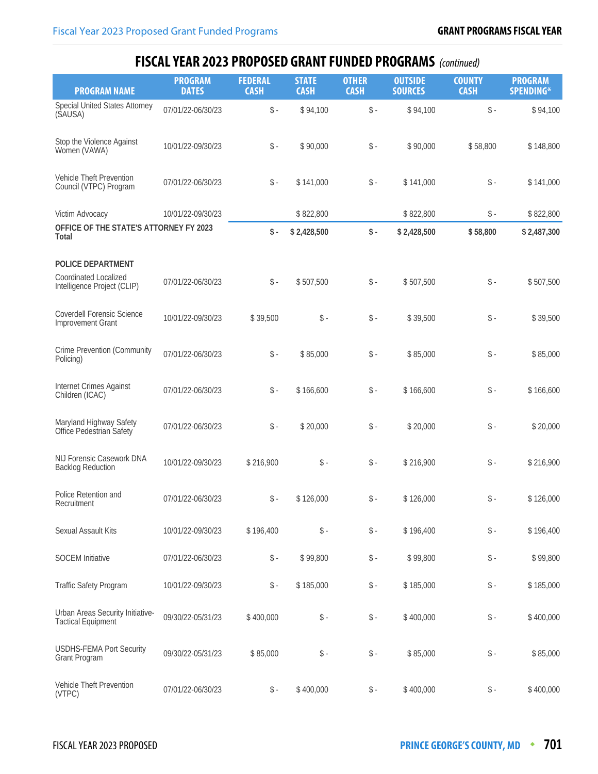| <b>PROGRAM NAME</b>                                                                     | <b>PROGRAM</b><br><b>DATES</b> | <b>FEDERAL</b><br><b>CASH</b> | <b>STATE</b><br><b>CASH</b> | <b>OTHER</b><br><b>CASH</b> | <b>OUTSIDE</b><br><b>SOURCES</b> | <b>COUNTY</b><br><b>CASH</b> | <b>PROGRAM</b><br><b>SPENDING*</b> |
|-----------------------------------------------------------------------------------------|--------------------------------|-------------------------------|-----------------------------|-----------------------------|----------------------------------|------------------------------|------------------------------------|
| <b>Special United States Attorney</b><br>(SAUSA)                                        | 07/01/22-06/30/23              | $\mathsf S$ -                 | \$94,100                    | $\mathsf S$ -               | \$94,100                         | $\$ -                        | \$94,100                           |
| Stop the Violence Against<br>Women (VAWA)                                               | 10/01/22-09/30/23              | $\$ -                         | \$90,000                    | $\mathsf S$ -               | \$90,000                         | \$58,800                     | \$148,800                          |
| Vehicle Theft Prevention<br>Council (VTPC) Program                                      | 07/01/22-06/30/23              | $\$ -                         | \$141,000                   | $\$ -                       | \$141,000                        | $\mathsf{\$}$ .              | \$141,000                          |
| Victim Advocacy                                                                         | 10/01/22-09/30/23              |                               | \$822,800                   |                             | \$822,800                        | $\mathsf S$ -                | \$822,800                          |
| OFFICE OF THE STATE'S ATTORNEY FY 2023<br>Total                                         |                                | $\mathsf S$ -                 | \$2,428,500                 | $\mathsf{\$}$ .             | \$2,428,500                      | \$58,800                     | \$2,487,300                        |
| <b>POLICE DEPARTMENT</b><br><b>Coordinated Localized</b><br>Intelligence Project (CLIP) | 07/01/22-06/30/23              | $\$ -                         | \$507,500                   | \$-                         | \$507,500                        | $\mathsf S$ -                | \$507,500                          |
| <b>Coverdell Forensic Science</b><br>Improvement Grant                                  | 10/01/22-09/30/23              | \$39,500                      | $\$ -                       | $\mathsf{\$}$ .             | \$39,500                         | $\$ -                        | \$39,500                           |
| <b>Crime Prevention (Community</b><br>Policing)                                         | 07/01/22-06/30/23              | $\$ -                         | \$85,000                    | $\mathsf S$ -               | \$85,000                         | $\$ -                        | \$85,000                           |
| Internet Crimes Against<br>Children (ICAC)                                              | 07/01/22-06/30/23              | $\$ -                         | \$166,600                   | $\mathsf S$ -               | \$166,600                        | $\$ -                        | \$166,600                          |
| Maryland Highway Safety<br>Office Pedestrian Safety                                     | 07/01/22-06/30/23              | $\$ -                         | \$20,000                    | $\mathsf{\$}$ -             | \$20,000                         | $\$ -                        | \$20,000                           |
| NIJ Forensic Casework DNA<br><b>Backlog Reduction</b>                                   | 10/01/22-09/30/23              | \$216,900                     | $\$ -                       | $\mathsf S$ -               | \$216,900                        | $\$ -                        | \$216,900                          |
| Police Retention and<br>Recruitment                                                     | 07/01/22-06/30/23              | $\mathsf S$ -                 | \$126,000                   | $\$ -                       | \$126,000                        | $\$ -                        | \$126,000                          |
| Sexual Assault Kits                                                                     | 10/01/22-09/30/23              | \$196,400                     | $\$ -                       | $\mathsf S$ -               | \$196,400                        | $\$ -                        | \$196,400                          |
| <b>SOCEM</b> Initiative                                                                 | 07/01/22-06/30/23              | $\$ -                         | \$99,800                    | $\$ -                       | \$99,800                         | $\mathsf S$ -                | \$99,800                           |
| <b>Traffic Safety Program</b>                                                           | 10/01/22-09/30/23              | $\$ -                         | \$185,000                   | \$-                         | \$185,000                        | $\mathsf{\$}$ .              | \$185,000                          |
| Urban Areas Security Initiative-<br><b>Tactical Equipment</b>                           | 09/30/22-05/31/23              | \$400,000                     | $\$ -                       | $\mathsf S$ -               | \$400,000                        | $\mathsf S$ -                | \$400,000                          |
| <b>USDHS-FEMA Port Security</b><br>Grant Program                                        | 09/30/22-05/31/23              | \$85,000                      | $\$ -                       | $\mathsf{\$}$ .             | \$85,000                         | $\mathsf{\$}$ .              | \$85,000                           |
| Vehicle Theft Prevention<br>(VTPC)                                                      | 07/01/22-06/30/23              | $\frac{1}{2}$ -               | \$400,000                   | $\mathsf S$ -               | \$400,000                        | $\mathsf{\$}$ .              | \$400,000                          |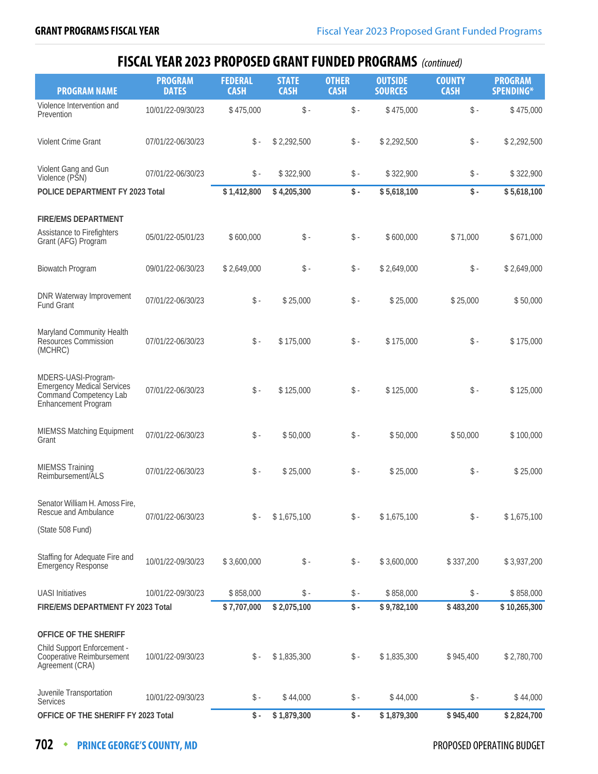| <b>PROGRAM NAME</b>                                                                                       | <b>PROGRAM</b><br><b>DATES</b> | <b>FEDERAL</b><br><b>CASH</b> | <b>STATE</b><br><b>CASH</b> | <b>OTHER</b><br><b>CASH</b> | <b>OUTSIDE</b><br><b>SOURCES</b> | <b>COUNTY</b><br><b>CASH</b> | <b>PROGRAM</b><br>SPENDING* |
|-----------------------------------------------------------------------------------------------------------|--------------------------------|-------------------------------|-----------------------------|-----------------------------|----------------------------------|------------------------------|-----------------------------|
| Violence Intervention and<br>Prevention                                                                   | 10/01/22-09/30/23              | \$475,000                     | $\$ -                       | $\mathsf S$ -               | \$475,000                        | $\$ -                        | \$475,000                   |
| Violent Crime Grant                                                                                       | 07/01/22-06/30/23              | $\$ -                         | \$2,292,500                 | $\mathsf S$ -               | \$2,292,500                      | $\$ -                        | \$2,292,500                 |
| Violent Gang and Gun<br>Violence (PSN)                                                                    | 07/01/22-06/30/23              | $\$ -                         | \$322,900                   | $\mathsf{\$}$ -             | \$322,900                        | $\mathsf{\$}$ .              | \$322,900                   |
| POLICE DEPARTMENT FY 2023 Total                                                                           |                                | \$1,412,800                   | \$4,205,300                 | $\mathsf S$ -               | \$5,618,100                      | $\mathsf S$ -                | \$5,618,100                 |
| <b>FIRE/EMS DEPARTMENT</b>                                                                                |                                |                               |                             |                             |                                  |                              |                             |
| Assistance to Firefighters<br>Grant (AFG) Program                                                         | 05/01/22-05/01/23              | \$600,000                     | $\$ -                       | $\mathsf S$ -               | \$600,000                        | \$71,000                     | \$671,000                   |
| <b>Biowatch Program</b>                                                                                   | 09/01/22-06/30/23              | \$2,649,000                   | $\$ -                       | $\mathsf S$ -               | \$2,649,000                      | \$-                          | \$2,649,000                 |
| DNR Waterway Improvement<br>Fund Grant                                                                    | 07/01/22-06/30/23              | $\$ -                         | \$25,000                    | $\mathsf S$ -               | \$25,000                         | \$25,000                     | \$50,000                    |
| Maryland Community Health<br>Resources Commission<br>(MCHRC)                                              | 07/01/22-06/30/23              | $\$ -                         | \$175,000                   | $\mathsf S$ -               | \$175,000                        | $\mathsf S$ -                | \$175,000                   |
| MDERS-UASI-Program-<br><b>Emergency Medical Services</b><br>Command Competency Lab<br>Enhancement Program | 07/01/22-06/30/23              | $\$ -                         | \$125,000                   | $\mathsf S$ -               | \$125,000                        | $\$ -                        | \$125,000                   |
| <b>MIEMSS Matching Equipment</b><br>Grant                                                                 | 07/01/22-06/30/23              | $\$ -                         | \$50,000                    | $\mathsf S$ -               | \$50,000                         | \$50,000                     | \$100,000                   |
| <b>MIEMSS Training</b><br>Reimbursement/ALS                                                               | 07/01/22-06/30/23              | $\$ -                         | \$25,000                    | $\mathsf{\$}$ -             | \$25,000                         | $\$ -                        | \$25,000                    |
| Senator William H. Amoss Fire,<br>Rescue and Ambulance                                                    | 07/01/22-06/30/23              | \$ -                          | \$1,675,100                 | $\mathsf{\$}$ -             | \$1,675,100                      | $\$ -                        | \$1,675,100                 |
| (State 508 Fund)                                                                                          |                                |                               |                             |                             |                                  |                              |                             |
| Staffing for Adequate Fire and<br><b>Emergency Response</b>                                               | 10/01/22-09/30/23              | \$3,600,000                   | $\$ -                       | $\frac{1}{2}$ -             | \$3,600,000                      | \$337,200                    | \$3,937,200                 |
| <b>UASI</b> Initiatives                                                                                   | 10/01/22-09/30/23              | \$858,000                     | $\$ -                       | $\mathsf{\$}$ -             | \$858,000                        | $\$ -                        | \$858,000                   |
| FIRE/EMS DEPARTMENT FY 2023 Total                                                                         |                                | \$7,707,000                   | \$2,075,100                 | $\mathsf S$ -               | \$9,782,100                      | \$483,200                    | \$10,265,300                |
|                                                                                                           |                                |                               |                             |                             |                                  |                              |                             |
| OFFICE OF THE SHERIFF                                                                                     |                                |                               |                             |                             |                                  |                              |                             |
| Child Support Enforcement -<br>Cooperative Reimbursement<br>Agreement (CRA)                               | 10/01/22-09/30/23              | \$ -                          | \$1,835,300                 | \$ -                        | \$1,835,300                      | \$945,400                    | \$2,780,700                 |
| Juvenile Transportation<br>Services                                                                       | 10/01/22-09/30/23              | \$ -                          | \$44,000                    | \$ -                        | \$44,000                         | $\$ -                        | \$44,000                    |
| OFFICE OF THE SHERIFF FY 2023 Total                                                                       |                                | $\mathsf{\$}$ .               | \$1,879,300                 | $\frac{1}{2}$ .             | \$1,879,300                      | \$945,400                    | \$2,824,700                 |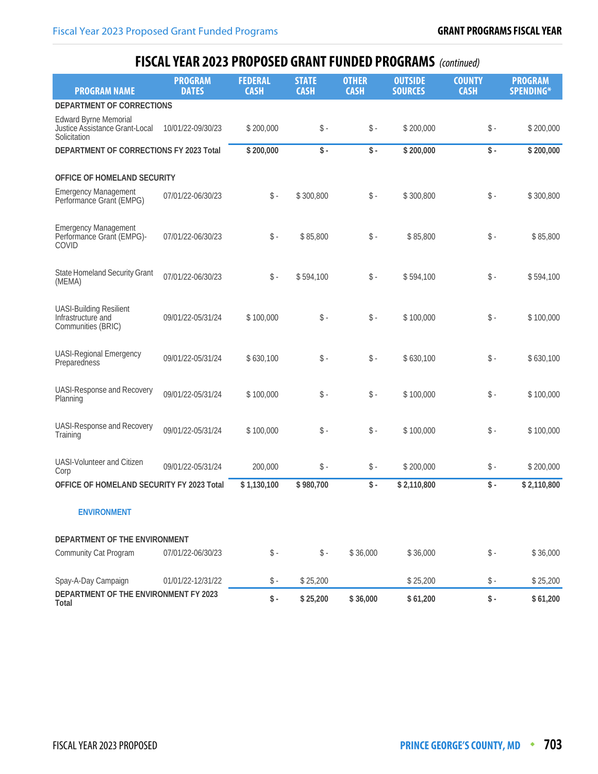| <b>PROGRAM NAME</b>                                                            | <b>PROGRAM</b><br><b>DATES</b> | <b>FEDERAL</b><br><b>CASH</b> | <b>STATE</b><br><b>CASH</b> | <b>OTHER</b><br><b>CASH</b> | <b>OUTSIDE</b><br><b>SOURCES</b> | <b>COUNTY</b><br><b>CASH</b> | <b>PROGRAM</b><br>SPENDING* |
|--------------------------------------------------------------------------------|--------------------------------|-------------------------------|-----------------------------|-----------------------------|----------------------------------|------------------------------|-----------------------------|
| DEPARTMENT OF CORRECTIONS                                                      |                                |                               |                             |                             |                                  |                              |                             |
| <b>Edward Byrne Memorial</b><br>Justice Assistance Grant-Local<br>Solicitation | 10/01/22-09/30/23              | \$200,000                     | $\$ -                       | $\$ -                       | \$200,000                        | $\$ -                        | \$200,000                   |
| DEPARTMENT OF CORRECTIONS FY 2023 Total                                        |                                | \$200,000                     | $\mathsf{\$}$ .             | $\mathsf S$ -               | \$200,000                        | $\mathsf{\$}$ .              | \$200,000                   |
| OFFICE OF HOMELAND SECURITY                                                    |                                |                               |                             |                             |                                  |                              |                             |
| <b>Emergency Management</b><br>Performance Grant (EMPG)                        | 07/01/22-06/30/23              | $\$ -                         | \$300,800                   | $\mathsf S$ -               | \$300,800                        | $\$ -                        | \$300,800                   |
| <b>Emergency Management</b><br>Performance Grant (EMPG)-<br>COVID              | 07/01/22-06/30/23              | $\$ -                         | \$85,800                    | $\mathsf{\$}$ .             | \$85,800                         | $\$ -                        | \$85,800                    |
| <b>State Homeland Security Grant</b><br>(MEMA)                                 | 07/01/22-06/30/23              | $\mathsf S$ -                 | \$594,100                   | $\mathsf S$ -               | \$594,100                        | $\mathsf S$ -                | \$594,100                   |
| <b>UASI-Building Resilient</b><br>Infrastructure and<br>Communities (BRIC)     | 09/01/22-05/31/24              | \$100,000                     | $\$ -                       | $\mathsf S$ -               | \$100,000                        | $\$ -                        | \$100,000                   |
| <b>UASI-Regional Emergency</b><br>Preparedness                                 | 09/01/22-05/31/24              | \$630,100                     | $\$ -                       | $\$ -                       | \$630,100                        | $\$ -                        | \$630,100                   |
| UASI-Response and Recovery<br>Planning                                         | 09/01/22-05/31/24              | \$100,000                     | $\$ -                       | $\mathsf S$ -               | \$100,000                        | $\mathsf S$ -                | \$100,000                   |
| UASI-Response and Recovery<br>Training                                         | 09/01/22-05/31/24              | \$100,000                     | $\mathsf{\$}$ -             | $\mathsf S$ -               | \$100,000                        | $\$ -                        | \$100,000                   |
| UASI-Volunteer and Citizen<br>Corp                                             | 09/01/22-05/31/24              | 200,000                       | $\$ -                       | $\mathsf S$ -               | \$200,000                        | $\$ -                        | \$200,000                   |
| OFFICE OF HOMELAND SECURITY FY 2023 Total                                      |                                | \$1,130,100                   | \$980,700                   | $\$ -                       | \$2,110,800                      | $\frac{1}{2}$ .              | \$2,110,800                 |
| <b>ENVIRONMENT</b>                                                             |                                |                               |                             |                             |                                  |                              |                             |
| DEPARTMENT OF THE ENVIRONMENT                                                  |                                |                               |                             |                             |                                  |                              |                             |
| Community Cat Program                                                          | 07/01/22-06/30/23              | $\mathsf S$ -                 | $\$ -                       | \$36,000                    | \$36,000                         | $\$ -                        | \$36,000                    |
| Spay-A-Day Campaign                                                            | 01/01/22-12/31/22              | \$-                           | \$25,200                    |                             | \$25,200                         | $\$ -                        | \$25,200                    |
| DEPARTMENT OF THE ENVIRONMENT FY 2023<br>Total                                 |                                | $\$ -                         | \$25,200                    | \$36,000                    | \$61,200                         | \$-                          | \$61,200                    |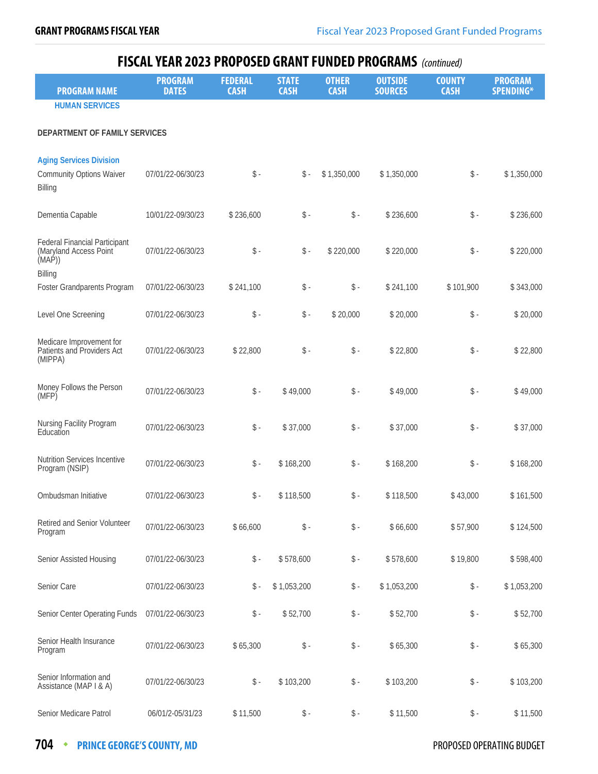| <b>PROGRAM NAME</b>                                                                | <b>PROGRAM</b><br><b>DATES</b> | <b>FEDERAL</b><br><b>CASH</b> | <b>STATE</b><br><b>CASH</b> | <b>OTHER</b><br><b>CASH</b> | <b>OUTSIDE</b><br><b>SOURCES</b> | <b>COUNTY</b><br><b>CASH</b> | <b>PROGRAM</b><br><b>SPENDING*</b> |
|------------------------------------------------------------------------------------|--------------------------------|-------------------------------|-----------------------------|-----------------------------|----------------------------------|------------------------------|------------------------------------|
| <b>HUMAN SERVICES</b>                                                              |                                |                               |                             |                             |                                  |                              |                                    |
|                                                                                    |                                |                               |                             |                             |                                  |                              |                                    |
| DEPARTMENT OF FAMILY SERVICES                                                      |                                |                               |                             |                             |                                  |                              |                                    |
| <b>Aging Services Division</b><br><b>Community Options Waiver</b><br>Billing       | 07/01/22-06/30/23              | $\$ -                         | $\$ -                       | \$1,350,000                 | \$1,350,000                      | $\$ -                        | \$1,350,000                        |
| Dementia Capable                                                                   | 10/01/22-09/30/23              | \$236,600                     | $\$ -                       | $\$ -                       | \$236,600                        | $\$ -                        | \$236,600                          |
| <b>Federal Financial Participant</b><br>(Maryland Access Point<br>(MAP)<br>Billing | 07/01/22-06/30/23              | $\mathsf S$ -                 | $\$ -                       | \$220,000                   | \$220,000                        | $\$ -                        | \$220,000                          |
| Foster Grandparents Program                                                        | 07/01/22-06/30/23              | \$241,100                     | $\$ -                       | $\$ -                       | \$241,100                        | \$101,900                    | \$343,000                          |
| Level One Screening                                                                | 07/01/22-06/30/23              | $\$ -                         | $\$ -                       | \$20,000                    | \$20,000                         | $\$ -                        | \$20,000                           |
| Medicare Improvement for<br>Patients and Providers Act<br>(MIPPA)                  | 07/01/22-06/30/23              | \$22,800                      | $\$ -                       | $\$ -                       | \$22,800                         | $\$ -                        | \$22,800                           |
| Money Follows the Person<br>(MFP)                                                  | 07/01/22-06/30/23              | $\$ -                         | \$49,000                    | $\mathsf S$ -               | \$49,000                         | $\$ -                        | \$49,000                           |
| Nursing Facility Program<br>Education                                              | 07/01/22-06/30/23              | $\$ -                         | \$37,000                    | $\mathsf S$ -               | \$37,000                         | $\$ -                        | \$37,000                           |
| <b>Nutrition Services Incentive</b><br>Program (NSIP)                              | 07/01/22-06/30/23              | $\$ -                         | \$168,200                   | $\$ -                       | \$168,200                        | $\$ -                        | \$168,200                          |
| Ombudsman Initiative                                                               | 07/01/22-06/30/23              | $\$ -                         | \$118,500                   | $\$ -                       | \$118,500                        | \$43,000                     | \$161,500                          |
| Retired and Senior Volunteer<br>Program                                            | 07/01/22-06/30/23              | \$66,600                      | $\$ -                       | $\$ -                       | \$66,600                         | \$57,900                     | \$124,500                          |
| Senior Assisted Housing                                                            | 07/01/22-06/30/23              | $\$ -                         | \$578,600                   | $\$ -                       | \$578,600                        | \$19,800                     | \$598,400                          |
| Senior Care                                                                        | 07/01/22-06/30/23              | $\$ -                         | \$1,053,200                 | $\mathsf{\$}$ .             | \$1,053,200                      | $\$ -                        | \$1,053,200                        |
| Senior Center Operating Funds                                                      | 07/01/22-06/30/23              | $\$ -                         | \$52,700                    | $\$ -                       | \$52,700                         | $\$ -                        | \$52,700                           |
| Senior Health Insurance<br>Program                                                 | 07/01/22-06/30/23              | \$65,300                      | $\$ -                       | $\$ -                       | \$65,300                         | $\$ -                        | \$65,300                           |
| Senior Information and<br>Assistance (MAP I & A)                                   | 07/01/22-06/30/23              | $\$ -                         | \$103,200                   | $\$ -                       | \$103,200                        | $\$ -                        | \$103,200                          |
| Senior Medicare Patrol                                                             | 06/01/2-05/31/23               | \$11,500                      | $\$ -                       | $\mathsf S$ -               | \$11,500                         | \$ -                         | \$11,500                           |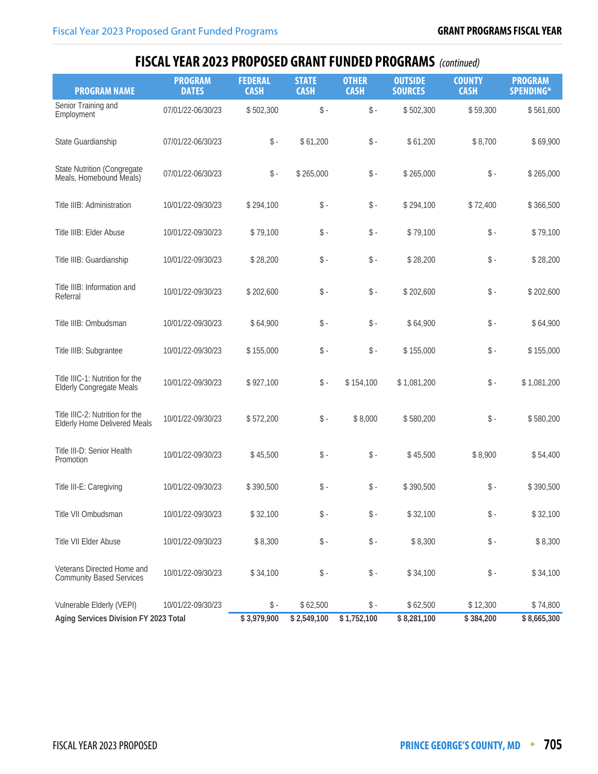| <b>PROGRAM NAME</b>                                                    | <b>PROGRAM</b><br><b>DATES</b> | <b>FEDERAL</b><br><b>CASH</b> | <b>STATE</b><br><b>CASH</b> | <b>OTHER</b><br><b>CASH</b> | <b>OUTSIDE</b><br><b>SOURCES</b> | <b>COUNTY</b><br><b>CASH</b> | <b>PROGRAM</b><br>SPENDING* |
|------------------------------------------------------------------------|--------------------------------|-------------------------------|-----------------------------|-----------------------------|----------------------------------|------------------------------|-----------------------------|
| Senior Training and<br>Employment                                      | 07/01/22-06/30/23              | \$502,300                     | $\$ -                       | $\$ -                       | \$502,300                        | \$59,300                     | \$561,600                   |
| State Guardianship                                                     | 07/01/22-06/30/23              | $\$ -                         | \$61,200                    | $\mathsf S$ -               | \$61,200                         | \$8,700                      | \$69,900                    |
| <b>State Nutrition (Congregate</b><br>Meals, Homebound Meals)          | 07/01/22-06/30/23              | $\$ -                         | \$265,000                   | $\mathsf S$ -               | \$265,000                        | $\$ -                        | \$265,000                   |
| Title IIIB: Administration                                             | 10/01/22-09/30/23              | \$294,100                     | $\$ -                       | $\$ -                       | \$294,100                        | \$72,400                     | \$366,500                   |
| Title IIIB: Elder Abuse                                                | 10/01/22-09/30/23              | \$79,100                      | $\$ -                       | $\$ -                       | \$79,100                         | $\$ -                        | \$79,100                    |
| Title IIIB: Guardianship                                               | 10/01/22-09/30/23              | \$28,200                      | $\$ -                       | $\$ -                       | \$28,200                         | $\$ -                        | \$28,200                    |
| Title IIIB: Information and<br>Referral                                | 10/01/22-09/30/23              | \$202,600                     | $\$ -                       | $\mathsf S$ -               | \$202,600                        | $\$ -                        | \$202,600                   |
| Title IIIB: Ombudsman                                                  | 10/01/22-09/30/23              | \$64,900                      | $\mathsf{\$}$ -             | $\$ -                       | \$64,900                         | $\$ -                        | \$64,900                    |
| Title IIIB: Subgrantee                                                 | 10/01/22-09/30/23              | \$155,000                     | $\$ -                       | $\mathsf S$ -               | \$155,000                        | $\$ -                        | \$155,000                   |
| Title IIIC-1: Nutrition for the<br><b>Elderly Congregate Meals</b>     | 10/01/22-09/30/23              | \$927,100                     | $\mathsf{\$}$ -             | \$154,100                   | \$1,081,200                      | $\$ -                        | \$1,081,200                 |
| Title IIIC-2: Nutrition for the<br><b>Elderly Home Delivered Meals</b> | 10/01/22-09/30/23              | \$572,200                     | $\$ -                       | \$8,000                     | \$580,200                        | $\$ -                        | \$580,200                   |
| Title III-D: Senior Health<br>Promotion                                | 10/01/22-09/30/23              | \$45,500                      | $\$ -                       | $\mathsf S$ -               | \$45,500                         | \$8,900                      | \$54,400                    |
| Title III-E: Caregiving                                                | 10/01/22-09/30/23              | \$390,500                     | $\$ -                       | $\$ -                       | \$390,500                        | $\$ -                        | \$390,500                   |
| Title VII Ombudsman                                                    | 10/01/22-09/30/23              | \$32,100                      | $\$ -                       | $\$ -                       | \$32,100                         | $\mathsf S$ -                | \$32,100                    |
| Title VII Elder Abuse                                                  | 10/01/22-09/30/23              | \$8,300                       | $\$ -                       | $\$ -                       | \$8,300                          | $\$ -                        | \$8,300                     |
| Veterans Directed Home and<br><b>Community Based Services</b>          | 10/01/22-09/30/23              | \$34,100                      | $\$ -                       | $\mathsf S$ -               | \$34,100                         | $\$ -                        | \$34,100                    |
| Vulnerable Elderly (VEPI)<br>Aging Services Division FY 2023 Total     | 10/01/22-09/30/23              | \$ -<br>\$3,979,900           | \$62,500<br>\$2,549,100     | \$ -<br>\$1,752,100         | \$62,500<br>\$8,281,100          | \$12,300<br>\$384,200        | \$74,800<br>\$8,665,300     |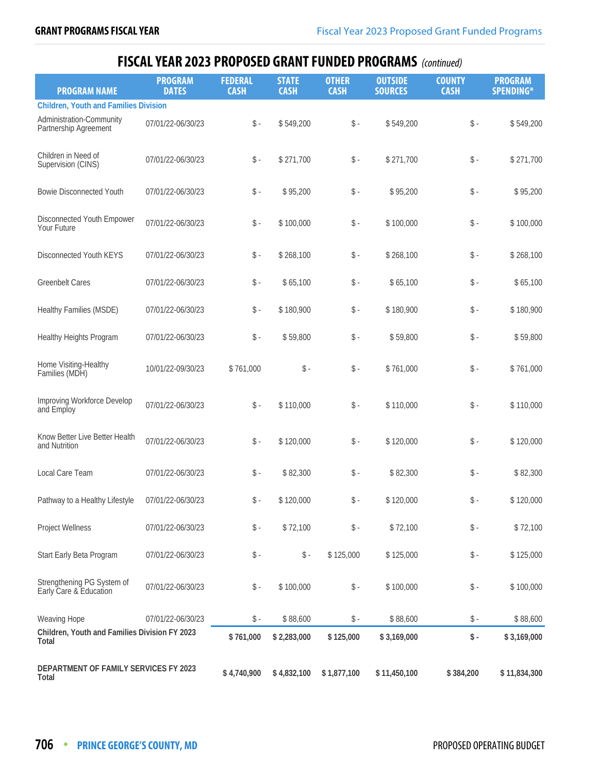| <b>PROGRAM NAME</b>                                           | <b>PROGRAM</b><br><b>DATES</b> | <b>FEDERAL</b><br><b>CASH</b> | <b>STATE</b><br><b>CASH</b> | <b>OTHER</b><br><b>CASH</b> | <b>OUTSIDE</b><br><b>SOURCES</b> | <b>COUNTY</b><br><b>CASH</b> | <b>PROGRAM</b><br>SPENDING* |
|---------------------------------------------------------------|--------------------------------|-------------------------------|-----------------------------|-----------------------------|----------------------------------|------------------------------|-----------------------------|
| <b>Children, Youth and Families Division</b>                  |                                |                               |                             |                             |                                  |                              |                             |
| Administration-Community<br>Partnership Agreement             | 07/01/22-06/30/23              | $\$ -                         | \$549,200                   | $\mathsf S$ -               | \$549,200                        | $\$ -                        | \$549,200                   |
| Children in Need of<br>Supervision (CINS)                     | 07/01/22-06/30/23              | $\$ -                         | \$271,700                   | \$-                         | \$271,700                        | $\$ -                        | \$271,700                   |
| <b>Bowie Disconnected Youth</b>                               | 07/01/22-06/30/23              | $\$ -                         | \$95,200                    | $\$ -                       | \$95,200                         | $\$ -                        | \$95,200                    |
| Disconnected Youth Empower<br>Your Future                     | 07/01/22-06/30/23              | $\$ -                         | \$100,000                   | \$-                         | \$100,000                        | $\mathsf S$ -                | \$100,000                   |
| Disconnected Youth KEYS                                       | 07/01/22-06/30/23              | $\$ -                         | \$268,100                   | \$-                         | \$268,100                        | $\$ -                        | \$268,100                   |
| <b>Greenbelt Cares</b>                                        | 07/01/22-06/30/23              | $\$ -                         | \$65,100                    | $\mathsf{\$}$ .             | \$65,100                         | $\$ -                        | \$65,100                    |
| Healthy Families (MSDE)                                       | 07/01/22-06/30/23              | $\$ -                         | \$180,900                   | $\mathsf{\$}$ .             | \$180,900                        | $\$ -                        | \$180,900                   |
| Healthy Heights Program                                       | 07/01/22-06/30/23              | $\$ -                         | \$59,800                    | $\mathsf S$ -               | \$59,800                         | $\$ -                        | \$59,800                    |
| Home Visiting-Healthy<br>Families (MDH)                       | 10/01/22-09/30/23              | \$761,000                     | $\$ -                       | $\mathsf{\$}$ -             | \$761,000                        | $\$ -                        | \$761,000                   |
| Improving Workforce Develop<br>and Employ                     | 07/01/22-06/30/23              | $\mathsf{\$}$ -               | \$110,000                   | $\$ -                       | \$110,000                        | $\$ -                        | \$110,000                   |
| Know Better Live Better Health<br>and Nutrition               | 07/01/22-06/30/23              | $\$ -                         | \$120,000                   | $\$ -                       | \$120,000                        | $\$ -                        | \$120,000                   |
| Local Care Team                                               | 07/01/22-06/30/23              | $\$ -                         | \$82,300                    | $\mathsf{\$}$ .             | \$82,300                         | $\$ -                        | \$82,300                    |
| Pathway to a Healthy Lifestyle                                | 07/01/22-06/30/23              | $\frac{1}{2}$ -               | \$120,000                   | $\$ -                       | \$120,000                        | $\$ -                        | \$120,000                   |
| <b>Project Wellness</b>                                       | 07/01/22-06/30/23              | $\$ -                         | \$72,100                    | \$ -                        | \$72,100                         | \$-                          | \$72,100                    |
| Start Early Beta Program                                      | 07/01/22-06/30/23              | $\$ -                         | $\$ -                       | \$125,000                   | \$125,000                        | $\$ -                        | \$125,000                   |
| Strengthening PG System of<br>Early Care & Education          | 07/01/22-06/30/23              | $\mathsf S$ -                 | \$100,000                   | \$-                         | \$100,000                        | $\$ -                        | \$100,000                   |
| Weaving Hope                                                  | 07/01/22-06/30/23              | \$ -                          | \$88,600                    | $\mathsf{\$}$ .             | \$88,600                         | \$-                          | \$88,600                    |
| Children, Youth and Families Division FY 2023<br><b>Total</b> |                                | \$761,000                     | \$2,283,000                 | \$125,000                   | \$3,169,000                      | \$-                          | \$3,169,000                 |
| DEPARTMENT OF FAMILY SERVICES FY 2023<br><b>Total</b>         |                                | \$4,740,900                   | \$4,832,100                 | \$1,877,100                 | \$11,450,100                     | \$384,200                    | \$11,834,300                |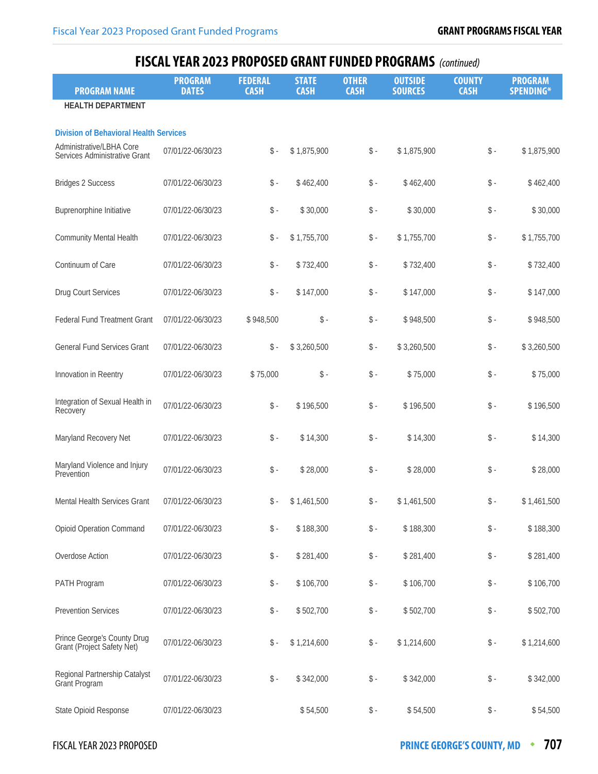| <b>PROGRAM NAME</b>                                       | <b>PROGRAM</b><br><b>DATES</b> | <b>FEDERAL</b><br><b>CASH</b> | <b>STATE</b><br><b>CASH</b> | <b>OTHER</b><br><b>CASH</b> | <b>OUTSIDE</b><br><b>SOURCES</b> | <b>COUNTY</b><br><b>CASH</b> | <b>PROGRAM</b><br><b>SPENDING*</b> |
|-----------------------------------------------------------|--------------------------------|-------------------------------|-----------------------------|-----------------------------|----------------------------------|------------------------------|------------------------------------|
| <b>HEALTH DEPARTMENT</b>                                  |                                |                               |                             |                             |                                  |                              |                                    |
| <b>Division of Behavioral Health Services</b>             |                                |                               |                             |                             |                                  |                              |                                    |
| Administrative/LBHA Core<br>Services Administrative Grant | 07/01/22-06/30/23              | $\hat{\mathbb{S}}$ -          | \$1,875,900                 | $\$ -                       | \$1,875,900                      | $\mathsf{\$}$ .              | \$1,875,900                        |
| <b>Bridges 2 Success</b>                                  | 07/01/22-06/30/23              | $\$ -                         | \$462,400                   | $\updownarrow$ .            | \$462,400                        | $\$ -                        | \$462,400                          |
| Buprenorphine Initiative                                  | 07/01/22-06/30/23              | $\mathsf S$ -                 | \$30,000                    | $\$ -                       | \$30,000                         | $\$ -                        | \$30,000                           |
| Community Mental Health                                   | 07/01/22-06/30/23              | $\$ -                         | \$1,755,700                 | $\$ -                       | \$1,755,700                      | $\$ -                        | \$1,755,700                        |
| Continuum of Care                                         | 07/01/22-06/30/23              | $\$ -                         | \$732,400                   | $\mathsf{\$}$ .             | \$732,400                        | $\$ -                        | \$732,400                          |
| Drug Court Services                                       | 07/01/22-06/30/23              | $\$ -                         | \$147,000                   | $\$ -                       | \$147,000                        | $\$ -                        | \$147,000                          |
| <b>Federal Fund Treatment Grant</b>                       | 07/01/22-06/30/23              | \$948,500                     | $\$ -                       | $\$ -                       | \$948,500                        | $\$ -                        | \$948,500                          |
| <b>General Fund Services Grant</b>                        | 07/01/22-06/30/23              | $\$ -                         | \$3,260,500                 | $\$ -                       | \$3,260,500                      | $\$ -                        | \$3,260,500                        |
| Innovation in Reentry                                     | 07/01/22-06/30/23              | \$75,000                      | $\$ -                       | $\$ -                       | \$75,000                         | $\$ -                        | \$75,000                           |
| Integration of Sexual Health in<br>Recovery               | 07/01/22-06/30/23              | $\$ -                         | \$196,500                   | $\$ -                       | \$196,500                        | $\$ -                        | \$196,500                          |
| Maryland Recovery Net                                     | 07/01/22-06/30/23              | $\$ -                         | \$14,300                    | $\mathsf S$ -               | \$14,300                         | $\$ -                        | \$14,300                           |
| Maryland Violence and Injury<br>Prevention                | 07/01/22-06/30/23              | $\$ -                         | \$28,000                    | $\mathsf S$ -               | \$28,000                         | $\$ -                        | \$28,000                           |
| <b>Mental Health Services Grant</b>                       | 07/01/22-06/30/23              | \$ -                          | \$1,461,500                 | $\$ -                       | \$1,461,500                      | $\$ -                        | \$1,461,500                        |
| <b>Opioid Operation Command</b>                           | 07/01/22-06/30/23              | $\$ -                         | \$188,300                   | $\mathsf S$ -               | \$188,300                        | $\mathsf{\$}$ .              | \$188,300                          |
| Overdose Action                                           | 07/01/22-06/30/23              | $\$ -                         | \$281,400                   | $\$ -                       | \$281,400                        | $\$ -                        | \$281,400                          |
| PATH Program                                              | 07/01/22-06/30/23              | $\$ -                         | \$106,700                   | $\$ -                       | \$106,700                        | $\$ -                        | \$106,700                          |
| <b>Prevention Services</b>                                | 07/01/22-06/30/23              | $\$ -                         | \$502,700                   | $\mathsf{\$}$ -             | \$502,700                        | $\$ -                        | \$502,700                          |
| Prince George's County Drug<br>Grant (Project Safety Net) | 07/01/22-06/30/23              | $\$ -                         | \$1,214,600                 | $\mathsf{\$}$ -             | \$1,214,600                      | $\$ -                        | \$1,214,600                        |
| Regional Partnership Catalyst<br>Grant Program            | 07/01/22-06/30/23              | $\mathsf S$ -                 | \$342,000                   | $\mathsf S$ -               | \$342,000                        | $\mathsf{\$}$ .              | \$342,000                          |
| State Opioid Response                                     | 07/01/22-06/30/23              |                               | \$54,500                    | $\$ -                       | \$54,500                         | $\mathsf{\$}$ -              | \$54,500                           |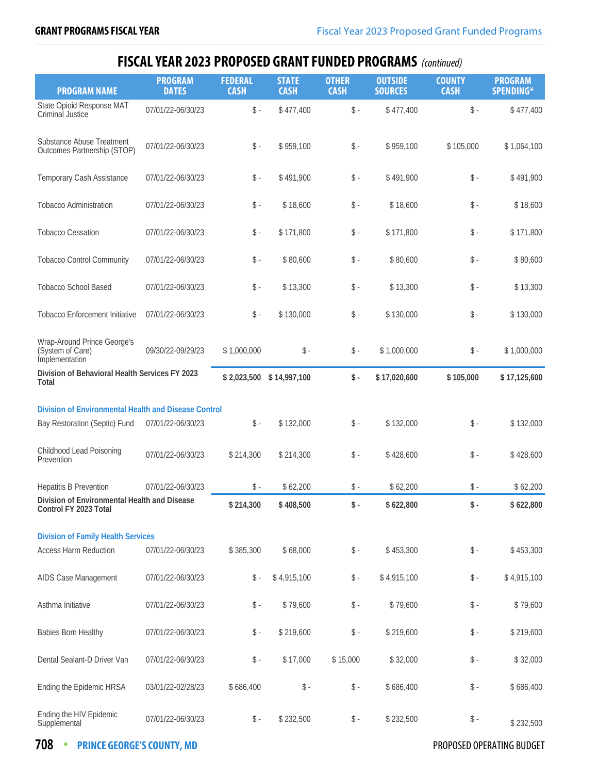| <b>PROGRAM NAME</b>                                                                          | <b>PROGRAM</b><br><b>DATES</b> | <b>FEDERAL</b><br><b>CASH</b> | <b>STATE</b><br><b>CASH</b> | <b>OTHER</b><br><b>CASH</b> | <b>OUTSIDE</b><br><b>SOURCES</b> | <b>COUNTY</b><br><b>CASH</b> | <b>PROGRAM</b><br>SPENDING* |
|----------------------------------------------------------------------------------------------|--------------------------------|-------------------------------|-----------------------------|-----------------------------|----------------------------------|------------------------------|-----------------------------|
| State Opioid Response MAT<br>Criminal Justice                                                | 07/01/22-06/30/23              | $\$ -                         | \$477,400                   | $\$ -                       | \$477,400                        | $\$ -                        | \$477,400                   |
| Substance Abuse Treatment<br>Outcomes Partnership (STOP)                                     | 07/01/22-06/30/23              | $\$ -                         | \$959,100                   | $\$ -                       | \$959,100                        | \$105,000                    | \$1,064,100                 |
| Temporary Cash Assistance                                                                    | 07/01/22-06/30/23              | $\$ -                         | \$491,900                   | $\mathsf S$ -               | \$491,900                        | $\$ -                        | \$491,900                   |
| <b>Tobacco Administration</b>                                                                | 07/01/22-06/30/23              | $\$ -                         | \$18,600                    | $\mathsf{\$}$ .             | \$18,600                         | $\$ -                        | \$18,600                    |
| <b>Tobacco Cessation</b>                                                                     | 07/01/22-06/30/23              | \$ -                          | \$171,800                   | $\$ -                       | \$171,800                        | $\$ -                        | \$171,800                   |
| <b>Tobacco Control Community</b>                                                             | 07/01/22-06/30/23              | $\$ -                         | \$80,600                    | $\mathsf{\$}$ .             | \$80,600                         | $\$ -                        | \$80,600                    |
| <b>Tobacco School Based</b>                                                                  | 07/01/22-06/30/23              | $\$ -                         | \$13,300                    | $\mathsf{\$}$ .             | \$13,300                         | $\$ -                        | \$13,300                    |
| <b>Tobacco Enforcement Initiative</b>                                                        | 07/01/22-06/30/23              | $\$ -                         | \$130,000                   | $\$ -                       | \$130,000                        | $\$ -                        | \$130,000                   |
| Wrap-Around Prince George's<br>(System of Care)<br>Implementation                            | 09/30/22-09/29/23              | \$1,000,000                   | $\$ -                       | $\mathsf{\$}$ .             | \$1,000,000                      | $\$ -                        | \$1,000,000                 |
| Division of Behavioral Health Services FY 2023<br>Total                                      |                                | \$2,023,500                   | \$14,997,100                | $\mathsf{\$}$ .             | \$17,020,600                     | \$105,000                    | \$17,125,600                |
|                                                                                              |                                |                               |                             |                             |                                  |                              |                             |
| <b>Division of Environmental Health and Disease Control</b><br>Bay Restoration (Septic) Fund | 07/01/22-06/30/23              | $\$ -                         | \$132,000                   | $\mathsf{\$}$ -             | \$132,000                        | $\mathsf S$ -                | \$132,000                   |
| Childhood Lead Poisoning<br>Prevention                                                       | 07/01/22-06/30/23              | \$214,300                     | \$214,300                   | \$ -                        | \$428,600                        | $\$ -                        | \$428,600                   |
| <b>Hepatitis B Prevention</b>                                                                | 07/01/22-06/30/23              | $\mathsf S$ -                 | \$62,200                    | $\mathsf{\$}$ .             | \$62,200                         | $\$ -                        | \$62,200                    |
| Division of Environmental Health and Disease<br>Control FY 2023 Total                        |                                | \$214,300                     | \$408,500                   | $\frac{1}{2}$ .             | \$622,800                        | \$-                          | \$622,800                   |
|                                                                                              |                                |                               |                             |                             |                                  |                              |                             |
| <b>Division of Family Health Services</b><br><b>Access Harm Reduction</b>                    | 07/01/22-06/30/23              | \$385,300                     | \$68,000                    | $\mathsf S$ -               | \$453,300                        | $\$ -                        | \$453,300                   |
| AIDS Case Management                                                                         | 07/01/22-06/30/23              | $\mathsf S$ -                 | \$4,915,100                 | \$ -                        | \$4,915,100                      | $\$ -                        | \$4,915,100                 |
| Asthma Initiative                                                                            | 07/01/22-06/30/23              | $\$ -                         | \$79,600                    | $\$ -                       | \$79,600                         | $\$ -                        | \$79,600                    |
| <b>Babies Born Healthy</b>                                                                   | 07/01/22-06/30/23              | $\$ -                         | \$219,600                   | $\mathsf{\$}$ .             | \$219,600                        | $\$ -                        | \$219,600                   |
| Dental Sealant-D Driver Van                                                                  | 07/01/22-06/30/23              | $\$ -                         | \$17,000                    | \$15,000                    | \$32,000                         | \$ -                         | \$32,000                    |
| Ending the Epidemic HRSA                                                                     | 03/01/22-02/28/23              | \$686,400                     | $\$ -                       | $\$ -                       | \$686,400                        | $\$ -                        | \$686,400                   |
| Ending the HIV Epidemic<br>Supplemental                                                      | 07/01/22-06/30/23              | $\$ -                         | \$232,500                   | $\mathsf{\$}$ -             | \$232,500                        | \$ -                         | \$232,500                   |

**708 • PRINCE GEORGE'S COUNTY, MD PROPOSED OPERATING BUDGET**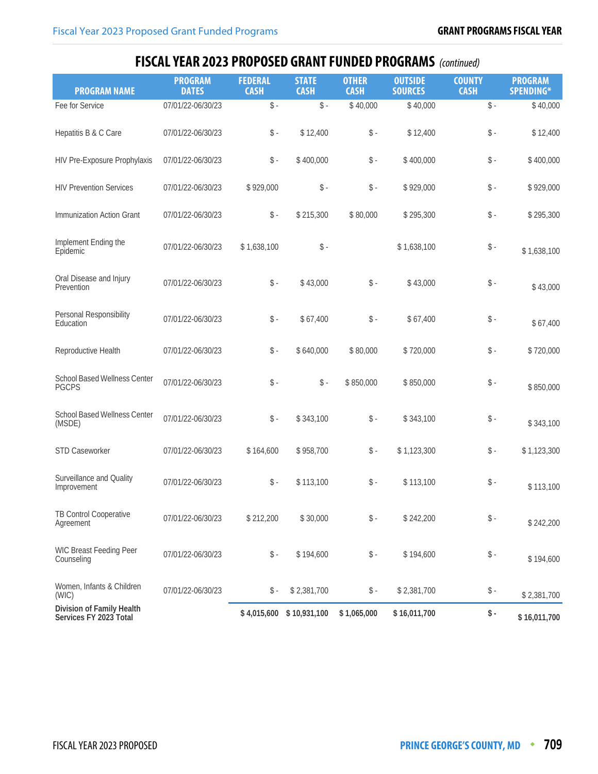| <b>PROGRAM NAME</b>                                 | <b>PROGRAM</b><br><b>DATES</b> | <b>FEDERAL</b><br><b>CASH</b> | <b>STATE</b><br><b>CASH</b> | <b>OTHER</b><br><b>CASH</b> | <b>OUTSIDE</b><br><b>SOURCES</b> | <b>COUNTY</b><br><b>CASH</b> | <b>PROGRAM</b><br>SPENDING* |
|-----------------------------------------------------|--------------------------------|-------------------------------|-----------------------------|-----------------------------|----------------------------------|------------------------------|-----------------------------|
| Fee for Service                                     | 07/01/22-06/30/23              | $\$ -                         | $\$ -                       | \$40,000                    | \$40,000                         | $\$ -                        | \$40,000                    |
| Hepatitis B & C Care                                | 07/01/22-06/30/23              | $\$ -                         | \$12,400                    | $\$ -                       | \$12,400                         | $\$ -                        | \$12,400                    |
| HIV Pre-Exposure Prophylaxis                        | 07/01/22-06/30/23              | $\$ -                         | \$400,000                   | $\mathsf{\$}$ -             | \$400,000                        | $\$ -                        | \$400,000                   |
| <b>HIV Prevention Services</b>                      | 07/01/22-06/30/23              | \$929,000                     | $\mathsf{\$}$ -             | $\mathsf{\$}$ .             | \$929,000                        | $\$ -                        | \$929,000                   |
| Immunization Action Grant                           | 07/01/22-06/30/23              | $\$ -                         | \$215,300                   | \$80,000                    | \$295,300                        | $\$ -                        | \$295,300                   |
| Implement Ending the<br>Epidemic                    | 07/01/22-06/30/23              | \$1,638,100                   | $\$ -                       |                             | \$1,638,100                      | $\$ -                        | \$1,638,100                 |
| Oral Disease and Injury<br>Prevention               | 07/01/22-06/30/23              | $\$ -                         | \$43,000                    | $\mathsf{\$}$ .             | \$43,000                         | $\$ -                        | \$43,000                    |
| Personal Responsibility<br>Education                | 07/01/22-06/30/23              | $\$ -                         | \$67,400                    | $\$ -                       | \$67,400                         | $\$ -                        | \$67,400                    |
| Reproductive Health                                 | 07/01/22-06/30/23              | $\$ -                         | \$640,000                   | \$80,000                    | \$720,000                        | $\$ -                        | \$720,000                   |
| School Based Wellness Center<br><b>PGCPS</b>        | 07/01/22-06/30/23              | $\$ -                         | $\$ -                       | \$850,000                   | \$850,000                        | $\$ -                        | \$850,000                   |
| School Based Wellness Center<br>(MSDE)              | 07/01/22-06/30/23              | $\$ -                         | \$343,100                   | $\$ -                       | \$343,100                        | $\$ -                        | \$343,100                   |
| STD Caseworker                                      | 07/01/22-06/30/23              | \$164,600                     | \$958,700                   | $\mathsf S$ -               | \$1,123,300                      | $\$ -                        | \$1,123,300                 |
| Surveillance and Quality<br>Improvement             | 07/01/22-06/30/23              | $\mathsf{\$}$ -               | \$113,100                   | $\mathsf{\$}$ .             | \$113,100                        | $\$ -                        | \$113,100                   |
| TB Control Cooperative<br>Agreement                 | 07/01/22-06/30/23              | \$212,200                     | \$30,000                    | $\$ -                       | \$242,200                        | $\$ -                        | \$242,200                   |
| WIC Breast Feeding Peer<br>Counseling               | 07/01/22-06/30/23              | $\mathsf S$ -                 | \$194,600                   | $\$ -                       | \$194,600                        | $\$ -                        | \$194,600                   |
| Women, Infants & Children<br>(WIC)                  | 07/01/22-06/30/23              | $\mathsf{\$}$ -               | \$2,381,700                 | $\$ -                       | \$2,381,700                      | $\$ -                        | \$2,381,700                 |
| Division of Family Health<br>Services FY 2023 Total |                                | \$4,015,600                   | \$10,931,100                | \$1,065,000                 | \$16,011,700                     | $\$ -                        | \$16,011,700                |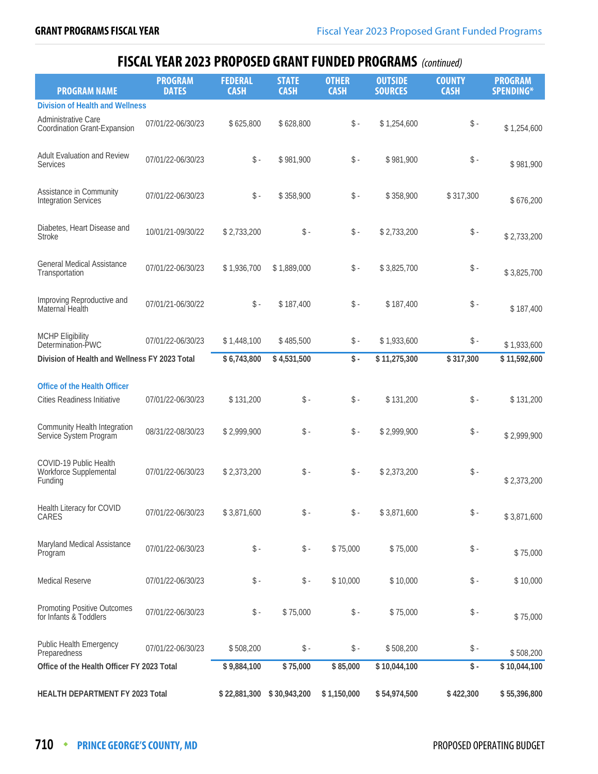| <b>PROGRAM NAME</b>                                                | <b>PROGRAM</b><br><b>DATES</b> | <b>FEDERAL</b><br><b>CASH</b> | <b>STATE</b><br><b>CASH</b> | <b>OTHER</b><br><b>CASH</b> | <b>OUTSIDE</b><br><b>SOURCES</b> | <b>COUNTY</b><br><b>CASH</b> | <b>PROGRAM</b><br><b>SPENDING*</b> |
|--------------------------------------------------------------------|--------------------------------|-------------------------------|-----------------------------|-----------------------------|----------------------------------|------------------------------|------------------------------------|
| <b>Division of Health and Wellness</b>                             |                                |                               |                             |                             |                                  |                              |                                    |
| Administrative Care<br>Coordination Grant-Expansion                | 07/01/22-06/30/23              | \$625,800                     | \$628,800                   | $\$ -                       | \$1,254,600                      | $\$ -                        | \$1,254,600                        |
| Adult Evaluation and Review<br><b>Services</b>                     | 07/01/22-06/30/23              | $\$ -                         | \$981,900                   | $\$ -                       | \$981,900                        | $\$ -                        | \$981,900                          |
| Assistance in Community<br><b>Integration Services</b>             | 07/01/22-06/30/23              | $\$ -                         | \$358,900                   | $\$ -                       | \$358,900                        | \$317,300                    | \$676,200                          |
| Diabetes, Heart Disease and<br><b>Stroke</b>                       | 10/01/21-09/30/22              | \$2,733,200                   | $\$ -                       | $\mathsf{\$}$ .             | \$2,733,200                      | $\$ -                        | \$2,733,200                        |
| <b>General Medical Assistance</b><br>Transportation                | 07/01/22-06/30/23              | \$1,936,700                   | \$1,889,000                 | $\frac{1}{2}$ -             | \$3,825,700                      | $\$ -                        | \$3,825,700                        |
| Improving Reproductive and<br>Maternal Health                      | 07/01/21-06/30/22              | $\$ -                         | \$187,400                   | $\$ -                       | \$187,400                        | $\$ -                        | \$187,400                          |
| <b>MCHP Eligibility</b><br>Determination-PWC                       | 07/01/22-06/30/23              | \$1,448,100                   | \$485,500                   | $\frac{1}{2}$ -             | \$1,933,600                      | \$-                          | \$1,933,600                        |
| Division of Health and Wellness FY 2023 Total                      |                                | \$6,743,800                   | \$4,531,500                 | $\mathsf{\$}$ .             | \$11,275,300                     | \$317,300                    | \$11,592,600                       |
|                                                                    |                                |                               |                             |                             |                                  |                              |                                    |
| <b>Office of the Health Officer</b><br>Cities Readiness Initiative | 07/01/22-06/30/23              | \$131,200                     | $\$ -                       | $\$ -                       | \$131,200                        | $\$ -                        | \$131,200                          |
| Community Health Integration<br>Service System Program             | 08/31/22-08/30/23              | \$2,999,900                   | $\$ -                       | $\mathsf{\$}$ .             | \$2,999,900                      | $\$ -                        | \$2,999,900                        |
| COVID-19 Public Health<br>Workforce Supplemental<br>Funding        | 07/01/22-06/30/23              | \$2,373,200                   | $\$ -                       | $\mathsf{\$}$ -             | \$2,373,200                      | $\$ -                        | \$2,373,200                        |
| Health Literacy for COVID<br>CARES                                 | 07/01/22-06/30/23              | \$3,871,600                   | $\$ -                       | $\mathsf{\$}$ -             | \$3,871,600                      | $\mathsf{\$}$ -              | \$3,871,600                        |
| Maryland Medical Assistance<br>Program                             | 07/01/22-06/30/23              | $\mathsf S$ -                 | $\$ -                       | \$75,000                    | \$75,000                         | $\$ -                        | \$75,000                           |
| <b>Medical Reserve</b>                                             | 07/01/22-06/30/23              | $\$ -                         | $\$ -                       | \$10,000                    | \$10,000                         | $\$ -                        | \$10,000                           |
| <b>Promoting Positive Outcomes</b><br>for Infants & Toddlers       | 07/01/22-06/30/23              | $\$ -                         | \$75,000                    | $\mathsf{\$}$ -             | \$75,000                         | $\$ -                        | \$75,000                           |
| <b>Public Health Emergency</b><br>Preparedness                     | 07/01/22-06/30/23              | \$508,200                     | $\$ -                       | $\mathsf{\$}$ -             | \$508,200                        | \$ -                         | \$508,200                          |
| Office of the Health Officer FY 2023 Total                         |                                | \$9,884,100                   | \$75,000                    | \$85,000                    | \$10,044,100                     | \$-                          | \$10,044,100                       |
| HEALTH DEPARTMENT FY 2023 Total                                    |                                | \$22,881,300                  | \$30,943,200                | \$1,150,000                 | \$54,974,500                     | \$422,300                    | \$55,396,800                       |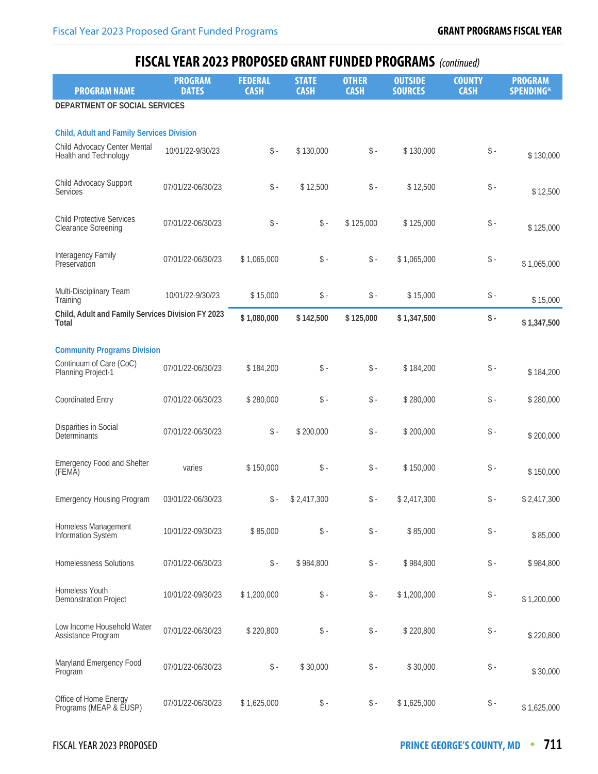| <b>PROGRAM NAME</b>                                                                                       | <b>PROGRAM</b><br><b>DATES</b> | <b>FEDERAL</b><br><b>CASH</b> | <b>STATE</b><br><b>CASH</b> | <b>OTHER</b><br><b>CASH</b> | <b>OUTSIDE</b><br><b>SOURCES</b> | <b>COUNTY</b><br><b>CASH</b> | <b>PROGRAM</b><br><b>SPENDING*</b> |
|-----------------------------------------------------------------------------------------------------------|--------------------------------|-------------------------------|-----------------------------|-----------------------------|----------------------------------|------------------------------|------------------------------------|
| DEPARTMENT OF SOCIAL SERVICES                                                                             |                                |                               |                             |                             |                                  |                              |                                    |
|                                                                                                           |                                |                               |                             |                             |                                  |                              |                                    |
| <b>Child, Adult and Family Services Division</b><br>Child Advocacy Center Mental<br>Health and Technology | 10/01/22-9/30/23               | $\$ -                         | \$130,000                   | $\mathsf{\$}$ .             | \$130,000                        | $\$ -                        | \$130,000                          |
| Child Advocacy Support<br>Services                                                                        | 07/01/22-06/30/23              | $\$ -                         | \$12,500                    | $\mathsf{\$}$ .             | \$12,500                         | $\$ -                        | \$12,500                           |
| <b>Child Protective Services</b><br><b>Clearance Screening</b>                                            | 07/01/22-06/30/23              | $\$ -                         | $\$ -                       | \$125,000                   | \$125,000                        | $\$ -                        | \$125,000                          |
| Interagency Family<br>Preservation                                                                        | 07/01/22-06/30/23              | \$1,065,000                   | $\$ -                       | $\mathsf{\$}$ .             | \$1,065,000                      | $\$ -                        | \$1,065,000                        |
| Multi-Disciplinary Team<br>Training                                                                       | 10/01/22-9/30/23               | \$15,000                      | $\$ -                       | $\updownarrow$ .            | \$15,000                         | $\$ -                        | \$15,000                           |
| Child, Adult and Family Services Division FY 2023<br>Total                                                |                                | \$1,080,000                   | \$142,500                   | \$125,000                   | \$1,347,500                      | $\frac{1}{2}$ .              | \$1,347,500                        |
|                                                                                                           |                                |                               |                             |                             |                                  |                              |                                    |
| <b>Community Programs Division</b>                                                                        |                                |                               |                             |                             |                                  |                              |                                    |
| Continuum of Care (CoC)<br>Planning Project-1                                                             | 07/01/22-06/30/23              | \$184,200                     | $\$ -                       | $\$ -                       | \$184,200                        | $\$ -                        | \$184,200                          |
| <b>Coordinated Entry</b>                                                                                  | 07/01/22-06/30/23              | \$280,000                     | $\$ -                       | $\mathsf{\$}$ .             | \$280,000                        | $\$ -                        | \$280,000                          |
| <b>Disparities in Social</b><br>Determinants                                                              | 07/01/22-06/30/23              | $\$ -                         | \$200,000                   | $\$ -                       | \$200,000                        | $\$ -                        | \$200,000                          |
| <b>Emergency Food and Shelter</b><br>(FEMA)                                                               | varies                         | \$150,000                     | $\$ -                       | $\mathsf{\$}$ .             | \$150,000                        | $\$ -                        | \$150,000                          |
| <b>Emergency Housing Program</b>                                                                          | 03/01/22-06/30/23              | $\mathsf{\$}$ -               | \$2,417,300                 | $\mathsf{\$}$ .             | \$2,417,300                      | $\$ -                        | \$2,417,300                        |
| Homeless Management<br>Information System                                                                 | 10/01/22-09/30/23              | \$85,000                      | $\mathsf{\$}$ -             | $\mathsf S$ -               | \$85,000                         | $\$ -                        | \$85,000                           |
| <b>Homelessness Solutions</b>                                                                             | 07/01/22-06/30/23              | $\mathsf S$ -                 | \$984,800                   | $\mathsf S$ -               | \$984,800                        | $\mathsf S$ -                | \$984,800                          |
| Homeless Youth<br><b>Demonstration Project</b>                                                            | 10/01/22-09/30/23              | \$1,200,000                   | $\$ -                       | $\$ -                       | \$1,200,000                      | $\$ -                        | \$1,200,000                        |
| Low Income Household Water<br>Assistance Program                                                          | 07/01/22-06/30/23              | \$220,800                     | $\$ -                       | \$-                         | \$220,800                        | $\$ -                        | \$220,800                          |
| Maryland Emergency Food<br>Program                                                                        | 07/01/22-06/30/23              | $\$ -                         | \$30,000                    | $\mathsf S$ -               | \$30,000                         | $\$ -                        | \$30,000                           |
| Office of Home Energy<br>Programs (MEAP & EUSP)                                                           | 07/01/22-06/30/23              | \$1,625,000                   | $\$ -                       | $\mathsf{\$}$ .             | \$1,625,000                      | $\$ -                        | \$1,625,000                        |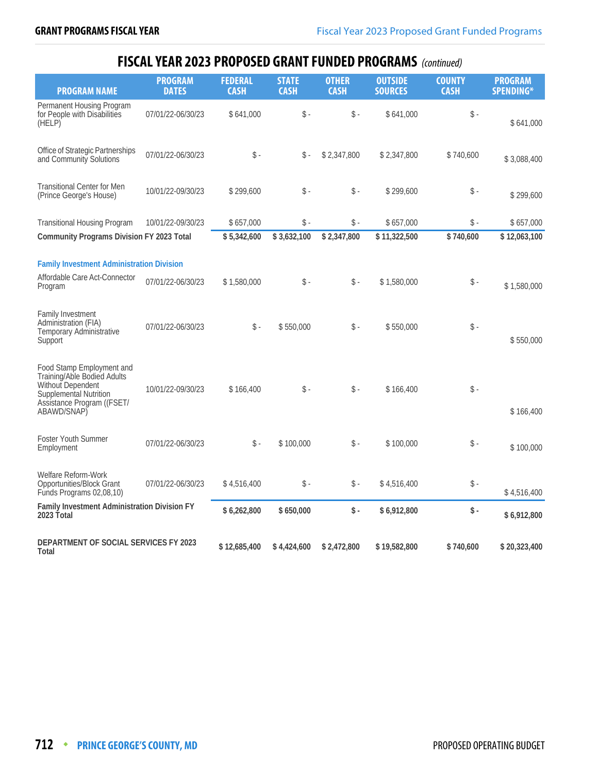| <b>PROGRAM NAME</b>                                                                                                                                                                                                                                        | <b>PROGRAM</b><br><b>DATES</b>         | <b>FEDERAL</b><br><b>CASH</b>  | <b>STATE</b><br><b>CASH</b>  | <b>OTHER</b><br><b>CASH</b> | <b>OUTSIDE</b><br><b>SOURCES</b> | <b>COUNTY</b><br><b>CASH</b> | <b>PROGRAM</b><br><b>SPENDING*</b> |
|------------------------------------------------------------------------------------------------------------------------------------------------------------------------------------------------------------------------------------------------------------|----------------------------------------|--------------------------------|------------------------------|-----------------------------|----------------------------------|------------------------------|------------------------------------|
| Permanent Housing Program<br>for People with Disabilities<br>(HELP)                                                                                                                                                                                        | 07/01/22-06/30/23                      | \$641,000                      | $\mathsf{\$}$ .              | $\mathsf{\$}$ .             | \$641,000                        | $\$ -                        | \$641,000                          |
| Office of Strategic Partnerships<br>and Community Solutions                                                                                                                                                                                                | 07/01/22-06/30/23                      | $\mathsf{\$}$ .                | $\mathsf{\$}$ .              | \$2,347,800                 | \$2,347,800                      | \$740,600                    | \$3,088,400                        |
| <b>Transitional Center for Men</b><br>(Prince George's House)                                                                                                                                                                                              | 10/01/22-09/30/23                      | \$299,600                      | $\$ -                        | \$ -                        | \$299,600                        | \$-                          | \$299,600                          |
| <b>Transitional Housing Program</b>                                                                                                                                                                                                                        | 10/01/22-09/30/23                      | \$657,000                      | $\mathsf{\$}$ .              | $\mathsf{\$}$ .             | \$657,000                        | $\mathsf{\$}$ .              | \$657,000                          |
| <b>Community Programs Division FY 2023 Total</b>                                                                                                                                                                                                           |                                        | \$5,342,600                    | \$3,632,100                  | \$2,347,800                 | \$11,322,500                     | \$740,600                    | \$12,063,100                       |
| <b>Family Investment Administration Division</b><br>Affordable Care Act-Connector<br>Program<br><b>Family Investment</b><br>Administration (FIA)<br>Temporary Administrative<br>Support<br>Food Stamp Employment and<br><b>Training/Able Bodied Adults</b> | 07/01/22-06/30/23<br>07/01/22-06/30/23 | \$1,580,000<br>$\mathsf{\$}$ - | $\mathsf{\$}$ .<br>\$550,000 | $\mathsf{\$}$ .<br>\$ -     | \$1,580,000<br>\$550,000         | $\mathsf{\$}$ .<br>$\$ -     | \$1,580,000<br>\$550,000           |
| Without Dependent<br>Supplemental Nutrition<br>Assistance Program ((FSET/<br>ABAWD/SNAP)                                                                                                                                                                   | 10/01/22-09/30/23                      | \$166,400                      | $\mathsf{\$}$ -              | \$ -                        | \$166,400                        | $\mathsf{\$}$ .              | \$166,400                          |
| Foster Youth Summer<br>Employment                                                                                                                                                                                                                          | 07/01/22-06/30/23                      | $\mathsf{\$}$ .                | \$100,000                    | $\mathbb{S}$ -              | \$100,000                        | $\mathsf{\$}$ .              | \$100,000                          |
| Welfare Reform-Work<br>Opportunities/Block Grant<br>Funds Programs 02,08,10)                                                                                                                                                                               | 07/01/22-06/30/23                      | \$4,516,400                    | $\mathsf{\$}$ .              | $\mathsf{\$}$ .             | \$4,516,400                      | $\$ -                        | \$4,516,400                        |
| Family Investment Administration Division FY<br>2023 Total                                                                                                                                                                                                 |                                        | \$6,262,800                    | \$650,000                    | \$-                         | \$6,912,800                      | \$-                          | \$6,912,800                        |
| <b>DEPARTMENT OF SOCIAL SERVICES FY 2023</b><br>Total                                                                                                                                                                                                      |                                        | \$12,685,400                   | \$4,424,600                  | \$2,472,800                 | \$19,582,800                     | \$740,600                    | \$20,323,400                       |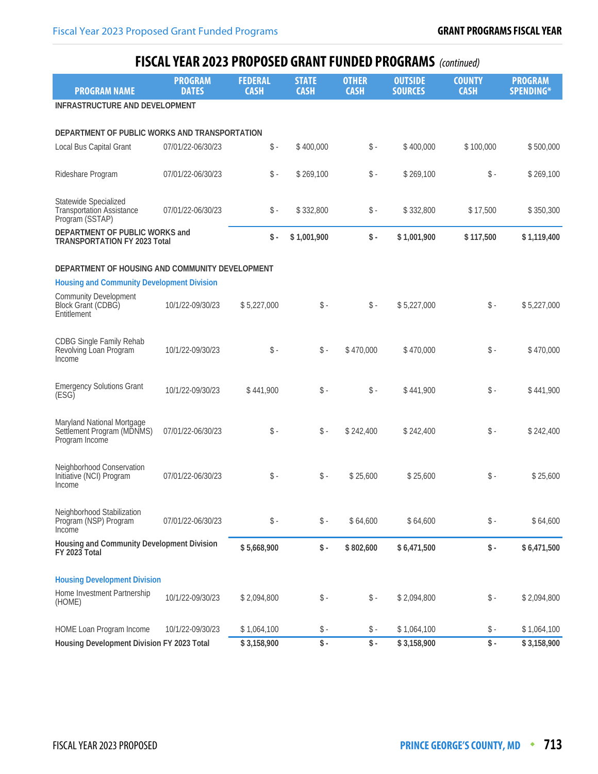| <b>PROGRAM NAME</b>                                                          | <b>PROGRAM</b><br><b>DATES</b> | <b>FEDERAL</b><br><b>CASH</b> | <b>STATE</b><br><b>CASH</b> | <b>OTHER</b><br><b>CASH</b> | <b>OUTSIDE</b><br><b>SOURCES</b> | <b>COUNTY</b><br><b>CASH</b> | <b>PROGRAM</b><br><b>SPENDING*</b> |
|------------------------------------------------------------------------------|--------------------------------|-------------------------------|-----------------------------|-----------------------------|----------------------------------|------------------------------|------------------------------------|
| INFRASTRUCTURE AND DEVELOPMENT                                               |                                |                               |                             |                             |                                  |                              |                                    |
|                                                                              |                                |                               |                             |                             |                                  |                              |                                    |
| DEPARTMENT OF PUBLIC WORKS AND TRANSPORTATION                                |                                |                               |                             |                             |                                  |                              |                                    |
| Local Bus Capital Grant                                                      | 07/01/22-06/30/23              | $\mathsf{\$}$ .               | \$400,000                   | $\mathsf S$ -               | \$400,000                        | \$100,000                    | \$500,000                          |
| Rideshare Program                                                            | 07/01/22-06/30/23              | $\$ -                         | \$269,100                   | $\mathsf{\$}$ .             | \$269,100                        | $\$ -                        | \$269,100                          |
| Statewide Specialized<br><b>Transportation Assistance</b><br>Program (SSTAP) | 07/01/22-06/30/23              | \$ -                          | \$332,800                   | \$-                         | \$332,800                        | \$17,500                     | \$350,300                          |
| DEPARTMENT OF PUBLIC WORKS and<br><b>TRANSPORTATION FY 2023 Total</b>        |                                | \$-                           | \$1,001,900                 | $\mathsf{\$}$ .             | \$1,001,900                      | \$117,500                    | \$1,119,400                        |
|                                                                              |                                |                               |                             |                             |                                  |                              |                                    |
| DEPARTMENT OF HOUSING AND COMMUNITY DEVELOPMENT                              |                                |                               |                             |                             |                                  |                              |                                    |
| <b>Housing and Community Development Division</b>                            |                                |                               |                             |                             |                                  |                              |                                    |
| <b>Community Development</b><br>Block Grant (CDBG)<br>Entitlement            | 10/1/22-09/30/23               | \$5,227,000                   | $\$ -                       | $\mathsf S$ -               | \$5,227,000                      | $\$ -                        | \$5,227,000                        |
| <b>CDBG Single Family Rehab</b><br>Revolving Loan Program<br>Income          | 10/1/22-09/30/23               | $\mathsf{\$}$ .               | $\$ -                       | \$470,000                   | \$470,000                        | $\$ -                        | \$470,000                          |
| <b>Emergency Solutions Grant</b><br>(ESG)                                    | 10/1/22-09/30/23               | \$441,900                     | $\mathsf{\$}$ -             | $\mathsf{\$}$ -             | \$441,900                        | $\$ -                        | \$441,900                          |
| Maryland National Mortgage<br>Settlement Program (MDNMS)<br>Program Income   | 07/01/22-06/30/23              | $\mathsf{\$}$ .               | $\$ -                       | \$242,400                   | \$242,400                        | $\$ -                        | \$242,400                          |
| Neighborhood Conservation<br>Initiative (NCI) Program<br>Income              | 07/01/22-06/30/23              | $\mathsf{\$}$ .               | $\mathsf{\$}$ -             | \$25,600                    | \$25,600                         | $\mathsf S$ -                | \$25,600                           |
| Neighborhood Stabilization<br>Program (NSP) Program<br>Income                | 07/01/22-06/30/23              | $\$ -                         | $\$ -                       | \$64,600                    | \$64,600                         | $\$ -                        | \$64,600                           |
| Housing and Community Development Division<br>FY 2023 Total                  |                                | \$5,668,900                   | $\$ -                       | \$802,600                   | \$6,471,500                      | $\$ -                        | \$6,471,500                        |
|                                                                              |                                |                               |                             |                             |                                  |                              |                                    |
| <b>Housing Development Division</b>                                          |                                |                               |                             |                             |                                  |                              |                                    |
| Home Investment Partnership<br>(HOME)                                        | 10/1/22-09/30/23               | \$2,094,800                   | $\$ -                       | $\$ -                       | \$2,094,800                      | $\$ -                        | \$2,094,800                        |
| HOME Loan Program Income                                                     | 10/1/22-09/30/23               | \$1,064,100                   | \$ -                        | \$ -                        | \$1,064,100                      | $\$ -                        | \$1,064,100                        |
| Housing Development Division FY 2023 Total                                   |                                | \$3,158,900                   | $\sqrt{\frac{4}{1}}$        | $\sqrt{$}$ -                | \$3,158,900                      | $\sqrt{\frac{2}{1}}$         | \$3,158,900                        |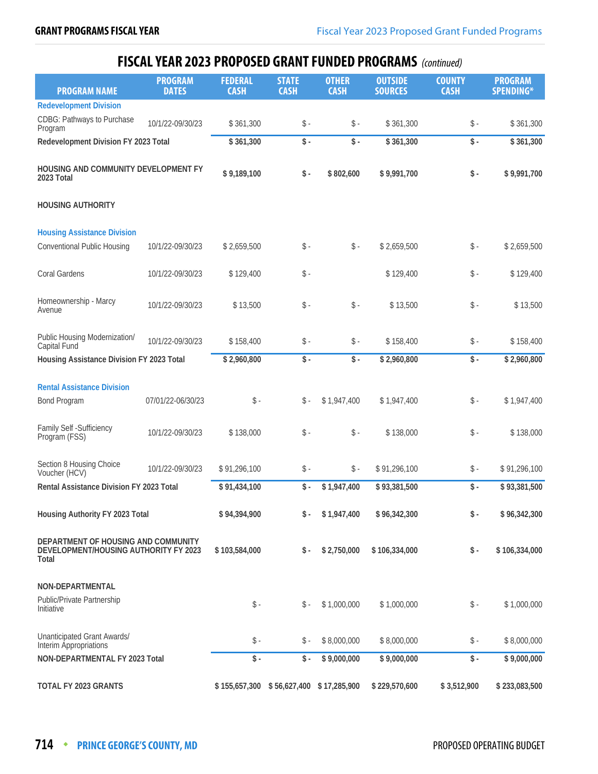| <b>PROGRAM NAME</b>                                                                   | <b>PROGRAM</b><br><b>DATES</b> | <b>FEDERAL</b><br><b>CASH</b> | <b>STATE</b><br><b>CASH</b> | <b>OTHER</b><br><b>CASH</b> | <b>OUTSIDE</b><br><b>SOURCES</b> | <b>COUNTY</b><br><b>CASH</b> | <b>PROGRAM</b><br><b>SPENDING*</b> |
|---------------------------------------------------------------------------------------|--------------------------------|-------------------------------|-----------------------------|-----------------------------|----------------------------------|------------------------------|------------------------------------|
| <b>Redevelopment Division</b>                                                         |                                |                               |                             |                             |                                  |                              |                                    |
| <b>CDBG: Pathways to Purchase</b><br>Program                                          | 10/1/22-09/30/23               | \$361,300                     | $\$ -                       | $\mathsf S$ -               | \$361,300                        | \$-                          | \$361,300                          |
| Redevelopment Division FY 2023 Total                                                  |                                | \$361,300                     | $\$ -                       | $\$ -                       | \$361,300                        | $\$ -                        | \$361,300                          |
| HOUSING AND COMMUNITY DEVELOPMENT FY<br>2023 Total                                    |                                | \$9,189,100                   | $\$ -                       | \$802,600                   | \$9,991,700                      | \$-                          | \$9,991,700                        |
| <b>HOUSING AUTHORITY</b>                                                              |                                |                               |                             |                             |                                  |                              |                                    |
| <b>Housing Assistance Division</b>                                                    |                                |                               |                             |                             |                                  |                              |                                    |
| <b>Conventional Public Housing</b>                                                    | 10/1/22-09/30/23               | \$2,659,500                   | $\$ -                       | $\mathsf{\$}$ -             | \$2,659,500                      | \$-                          | \$2,659,500                        |
| Coral Gardens                                                                         | 10/1/22-09/30/23               | \$129,400                     | $\$ -                       |                             | \$129,400                        | $\$ -                        | \$129,400                          |
| Homeownership - Marcy<br>Avenue                                                       | 10/1/22-09/30/23               | \$13,500                      | $\$ -                       | $\mathsf{\$}$ -             | \$13,500                         | \$-                          | \$13,500                           |
| Public Housing Modernization/<br>Capital Fund                                         | 10/1/22-09/30/23               | \$158,400                     | $\$ -                       | $\mathsf S$ -               | \$158,400                        | \$-                          | \$158,400                          |
| Housing Assistance Division FY 2023 Total                                             |                                | \$2,960,800                   | $\mathsf{\$}$ .             | $\mathsf S$ -               | \$2,960,800                      | $\frac{1}{2}$ .              | \$2,960,800                        |
| <b>Rental Assistance Division</b>                                                     |                                |                               |                             |                             |                                  |                              |                                    |
| <b>Bond Program</b>                                                                   | 07/01/22-06/30/23              | $\mathsf{\$}$ -               | $\hat{\mathbb{S}}$ -        | \$1,947,400                 | \$1,947,400                      | $\$ -                        | \$1,947,400                        |
| Family Self - Sufficiency<br>Program (FSS)                                            | 10/1/22-09/30/23               | \$138,000                     | $\$ -                       | $\$ -                       | \$138,000                        | $\$ -                        | \$138,000                          |
| Section 8 Housing Choice<br>Voucher (HCV)                                             | 10/1/22-09/30/23               | \$91,296,100                  | $\$ -                       | \$ -                        | \$91,296,100                     | $\mathsf{\$}$ .              | \$91,296,100                       |
| Rental Assistance Division FY 2023 Total                                              |                                | \$91,434,100                  | \$-                         | \$1,947,400                 | \$93,381,500                     | $\mathsf S$ -                | \$93,381,500                       |
| Housing Authority FY 2023 Total                                                       |                                | \$94,394,900                  | \$-                         | \$1,947,400                 | \$96,342,300                     | $\mathsf{\$}$ .              | \$96,342,300                       |
| DEPARTMENT OF HOUSING AND COMMUNITY<br>DEVELOPMENT/HOUSING AUTHORITY FY 2023<br>Total |                                | \$103,584,000                 | \$-                         | \$2,750,000                 | \$106,334,000                    | $\mathsf{\$}$ .              | \$106,334,000                      |
| NON-DEPARTMENTAL                                                                      |                                |                               |                             |                             |                                  |                              |                                    |
| Public/Private Partnership<br>Initiative                                              |                                | $\$ -                         | $\frac{1}{2}$ -             | \$1,000,000                 | \$1,000,000                      | $\mathsf{\$}$ .              | \$1,000,000                        |
| Unanticipated Grant Awards/<br>Interim Appropriations                                 |                                | $\frac{1}{2}$                 | $\$ -                       | \$8,000,000                 | \$8,000,000                      | $\mathsf{\$}$ .              | \$8,000,000                        |
| NON-DEPARTMENTAL FY 2023 Total                                                        |                                | $\mathsf{\$}$ .               | \$-                         | \$9,000,000                 | \$9,000,000                      | $\$ -                        | \$9,000,000                        |
| TOTAL FY 2023 GRANTS                                                                  |                                | \$155,657,300                 |                             | \$56,627,400 \$17,285,900   | \$229,570,600                    | \$3,512,900                  | \$233,083,500                      |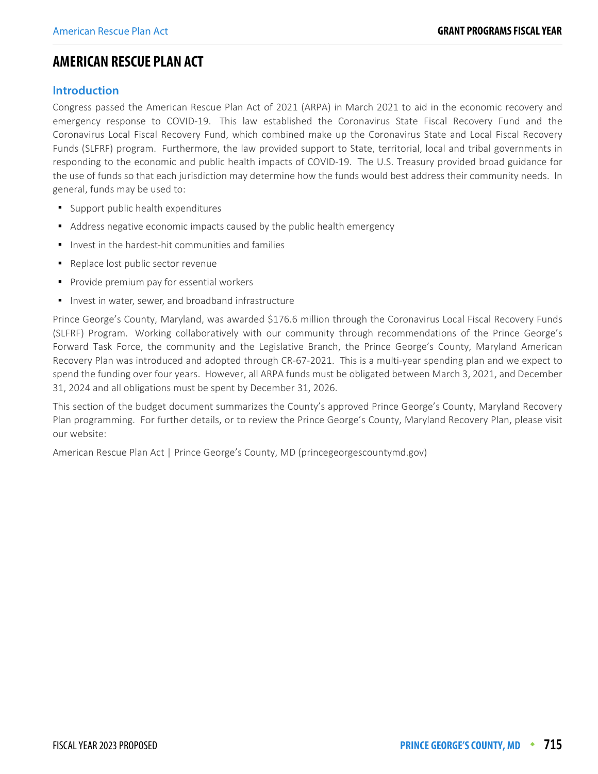#### <span id="page-18-0"></span>**AMERICAN RESCUE PLAN ACT**

#### **Introduction**

Congress passed the American Rescue Plan Act of 2021 (ARPA) in March 2021 to aid in the economic recovery and emergency response to COVID-19. This law established the Coronavirus State Fiscal Recovery Fund and the Coronavirus Local Fiscal Recovery Fund, which combined make up the Coronavirus State and Local Fiscal Recovery Funds (SLFRF) program. Furthermore, the law provided support to State, territorial, local and tribal governments in responding to the economic and public health impacts of COVID-19. The U.S. Treasury provided broad guidance for the use of funds so that each jurisdiction may determine how the funds would best address their community needs. In general, funds may be used to:

- **Support public health expenditures**
- Address negative economic impacts caused by the public health emergency
- **IF** Invest in the hardest-hit communities and families
- Replace lost public sector revenue
- **Provide premium pay for essential workers**
- **Invest in water, sewer, and broadband infrastructure**

Prince George's County, Maryland, was awarded \$176.6 million through the Coronavirus Local Fiscal Recovery Funds (SLFRF) Program. Working collaboratively with our community through recommendations of the Prince George's Forward Task Force, the community and the Legislative Branch, the Prince George's County, Maryland American Recovery Plan was introduced and adopted through CR-67-2021. This is a multi-year spending plan and we expect to spend the funding over four years. However, all ARPA funds must be obligated between March 3, 2021, and December 31, 2024 and all obligations must be spent by December 31, 2026.

This section of the budget document summarizes the County's approved Prince George's County, Maryland Recovery Plan programming. For further details, or to review the Prince George's County, Maryland Recovery Plan, please visit our website:

American Rescue Plan Act | Prince George's County, MD (princegeorgescountymd.gov)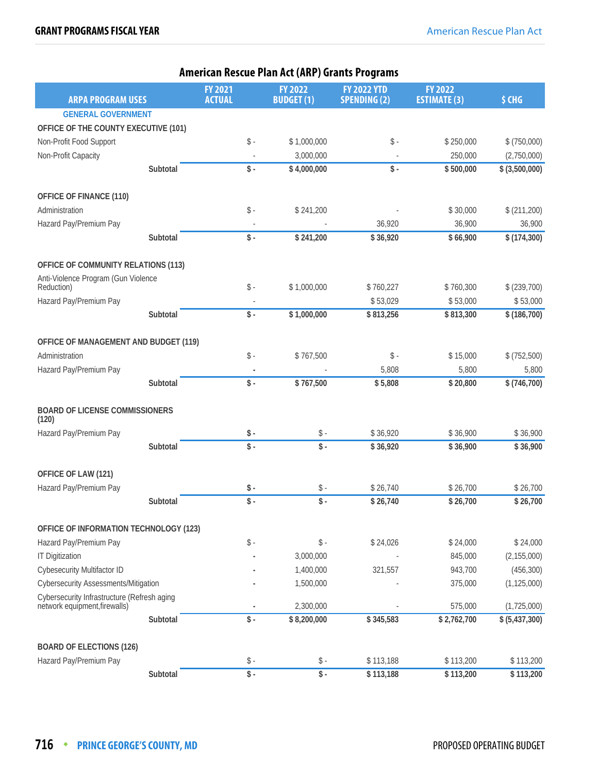|                                                                              |          |                   | AIIIEITU NESCUE FIAII ACC (ANT / GIAIICS FIUGIAIIIS |                     |                     |                |
|------------------------------------------------------------------------------|----------|-------------------|-----------------------------------------------------|---------------------|---------------------|----------------|
|                                                                              |          | <b>FY 2021</b>    | <b>FY 2022</b>                                      | <b>FY 2022 YTD</b>  | <b>FY 2022</b>      |                |
| <b>ARPA PROGRAM USES</b>                                                     |          | <b>ACTUAL</b>     | <b>BUDGET(1)</b>                                    | <b>SPENDING (2)</b> | <b>ESTIMATE (3)</b> | \$ CHG         |
| <b>GENERAL GOVERNMENT</b>                                                    |          |                   |                                                     |                     |                     |                |
| OFFICE OF THE COUNTY EXECUTIVE (101)                                         |          |                   |                                                     |                     |                     |                |
| Non-Profit Food Support                                                      |          | $\$ -             | \$1,000,000                                         | $\$ -               | \$250,000           | \$ (750,000)   |
| Non-Profit Capacity                                                          |          |                   | 3,000,000                                           |                     | 250,000             | (2,750,000)    |
|                                                                              | Subtotal | $\$ -             | \$4,000,000                                         | $\$ -               | \$500,000           | \$ (3,500,000) |
|                                                                              |          |                   |                                                     |                     |                     |                |
| OFFICE OF FINANCE (110)                                                      |          |                   |                                                     |                     |                     |                |
| Administration                                                               |          | $\$ -             | \$241,200                                           |                     | \$30,000            | \$(211,200)    |
| Hazard Pay/Premium Pay                                                       |          |                   |                                                     | 36,920              | 36,900              | 36,900         |
|                                                                              | Subtotal | \$-               | \$241,200                                           | \$36,920            | \$66,900            | \$(174,300)    |
| OFFICE OF COMMUNITY RELATIONS (113)                                          |          |                   |                                                     |                     |                     |                |
| Anti-Violence Program (Gun Violence                                          |          |                   |                                                     |                     |                     |                |
| Reduction)                                                                   |          | $\$ -             | \$1,000,000                                         | \$760,227           | \$760,300           | \$ (239,700)   |
| Hazard Pay/Premium Pay                                                       |          |                   |                                                     | \$53,029            | \$53,000            | \$53,000       |
|                                                                              | Subtotal | $\overline{\$}$ . | \$1,000,000                                         | \$813,256           | \$813,300           | \$(186,700)    |
| OFFICE OF MANAGEMENT AND BUDGET (119)                                        |          |                   |                                                     |                     |                     |                |
| Administration                                                               |          | $\$ -             | \$767,500                                           | $\$ -               | \$15,000            | \$ (752,500)   |
| Hazard Pay/Premium Pay                                                       |          |                   |                                                     | 5,808               | 5,800               | 5,800          |
|                                                                              | Subtotal | $\frac{1}{2}$ .   | \$767,500                                           | \$5,808             | \$20,800            | \$(746,700)    |
|                                                                              |          |                   |                                                     |                     |                     |                |
| <b>BOARD OF LICENSE COMMISSIONERS</b><br>(120)                               |          |                   |                                                     |                     |                     |                |
| Hazard Pay/Premium Pay                                                       |          | $\$ -             | \$ -                                                | \$36,920            | \$36,900            | \$36,900       |
|                                                                              | Subtotal | $\overline{\$}$ - | $\overline{\$}$ -                                   | \$36,920            | \$36,900            | \$36,900       |
| OFFICE OF LAW (121)                                                          |          |                   |                                                     |                     |                     |                |
| Hazard Pay/Premium Pay                                                       |          | $\$ -             | $\$ -                                               | \$26,740            | \$26,700            | \$26,700       |
|                                                                              | Subtotal | $\frac{1}{2}$ .   | $\frac{1}{2}$ .                                     | \$26,740            | \$26,700            | \$26,700       |
|                                                                              |          |                   |                                                     |                     |                     |                |
| OFFICE OF INFORMATION TECHNOLOGY (123)                                       |          |                   |                                                     |                     |                     |                |
| Hazard Pay/Premium Pay                                                       |          | $\mathsf S$ -     | $\hat{\mathbb{S}}$ -                                | \$24,026            | \$24,000            | \$24,000       |
| <b>IT Digitization</b>                                                       |          |                   | 3,000,000                                           |                     | 845,000             | (2, 155, 000)  |
| <b>Cybesecurity Multifactor ID</b>                                           |          |                   | 1,400,000                                           | 321,557             | 943,700             | (456, 300)     |
| <b>Cybersecurity Assessments/Mitigation</b>                                  |          |                   | 1,500,000                                           |                     | 375,000             | (1, 125, 000)  |
| Cybersecurity Infrastructure (Refresh aging<br>network equipment, firewalls) |          |                   | 2,300,000                                           |                     | 575,000             | (1,725,000)    |
|                                                                              | Subtotal | $\sqrt{$}$ .      | \$8,200,000                                         | \$345,583           | \$2,762,700         | \$ (5,437,300) |
| <b>BOARD OF ELECTIONS (126)</b>                                              |          |                   |                                                     |                     |                     |                |
| Hazard Pay/Premium Pay                                                       |          | $\$ -             | $\$ -                                               | \$113,188           | \$113,200           | \$113,200      |
|                                                                              | Subtotal | $\$ -             | $\frac{1}{2}$ .                                     | \$113,188           | \$113,200           | \$113,200      |
|                                                                              |          |                   |                                                     |                     |                     |                |

#### American Rescue Plan Act (ARP) Grants Programs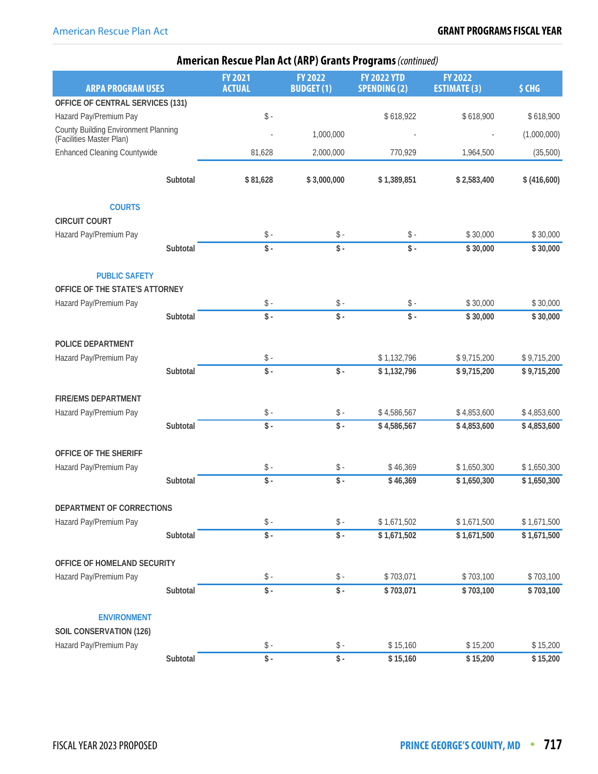|                                                                  | <b>American Rescue Plan Act (ARP) Grants Programs (continued)</b> |                                 |                                    |                                           |                                       |              |  |  |  |
|------------------------------------------------------------------|-------------------------------------------------------------------|---------------------------------|------------------------------------|-------------------------------------------|---------------------------------------|--------------|--|--|--|
| <b>ARPA PROGRAM USES</b>                                         |                                                                   | <b>FY 2021</b><br><b>ACTUAL</b> | <b>FY 2022</b><br><b>BUDGET(1)</b> | <b>FY 2022 YTD</b><br><b>SPENDING (2)</b> | <b>FY 2022</b><br><b>ESTIMATE (3)</b> | \$ CHG       |  |  |  |
| OFFICE OF CENTRAL SERVICES (131)                                 |                                                                   |                                 |                                    |                                           |                                       |              |  |  |  |
| Hazard Pay/Premium Pay                                           |                                                                   | $\$ -                           |                                    | \$618,922                                 | \$618,900                             | \$618,900    |  |  |  |
| County Building Environment Planning<br>(Facilities Master Plan) |                                                                   |                                 | 1,000,000                          |                                           |                                       | (1,000,000)  |  |  |  |
| <b>Enhanced Cleaning Countywide</b>                              |                                                                   | 81,628                          | 2,000,000                          | 770,929                                   | 1,964,500                             | (35,500)     |  |  |  |
|                                                                  | Subtotal                                                          | \$81,628                        | \$3,000,000                        | \$1,389,851                               | \$2,583,400                           | \$ (416,600) |  |  |  |
| <b>COURTS</b>                                                    |                                                                   |                                 |                                    |                                           |                                       |              |  |  |  |
| <b>CIRCUIT COURT</b>                                             |                                                                   |                                 |                                    |                                           |                                       |              |  |  |  |
| Hazard Pay/Premium Pay                                           |                                                                   | $\$ -                           | $\$ -                              | $\$ -                                     | \$30,000                              | \$30,000     |  |  |  |
|                                                                  | Subtotal                                                          | $\overline{\$}$ -               | $\overline{\$}$ -                  | $\overline{\$}$ -                         | \$30,000                              | \$30,000     |  |  |  |
| <b>PUBLIC SAFETY</b>                                             |                                                                   |                                 |                                    |                                           |                                       |              |  |  |  |
| OFFICE OF THE STATE'S ATTORNEY                                   |                                                                   |                                 |                                    |                                           |                                       |              |  |  |  |
| Hazard Pay/Premium Pay                                           |                                                                   | $\$ -                           | $\$ -                              | $\updownarrow$ .                          | \$30,000                              | \$30,000     |  |  |  |
|                                                                  | Subtotal                                                          | $\hat{\mathsf{s}}$ .            | $\hat{\mathcal{S}}$ .              | $\$ -                                     | \$30,000                              | \$30,000     |  |  |  |
| POLICE DEPARTMENT                                                |                                                                   |                                 |                                    |                                           |                                       |              |  |  |  |
| Hazard Pay/Premium Pay                                           |                                                                   | $\$ -                           |                                    | \$1,132,796                               | \$9,715,200                           | \$9,715,200  |  |  |  |
|                                                                  | Subtotal                                                          | $\overline{\$}$ .               | $\$ -                              | \$1,132,796                               | \$9,715,200                           | \$9,715,200  |  |  |  |
| <b>FIRE/EMS DEPARTMENT</b>                                       |                                                                   |                                 |                                    |                                           |                                       |              |  |  |  |
| Hazard Pay/Premium Pay                                           |                                                                   | $\$ -                           | $\$ -                              | \$4,586,567                               | \$4,853,600                           | \$4,853,600  |  |  |  |
|                                                                  | Subtotal                                                          | $\overline{\$}$ -               | $\overline{\$}$ -                  | \$4,586,567                               | \$4,853,600                           | \$4,853,600  |  |  |  |
| OFFICE OF THE SHERIFF                                            |                                                                   |                                 |                                    |                                           |                                       |              |  |  |  |
| Hazard Pay/Premium Pay                                           |                                                                   | $\$ -                           | $\$ -                              | \$46,369                                  | \$1,650,300                           | \$1,650,300  |  |  |  |
|                                                                  | Subtotal                                                          | $\mathsf{\$}$ .                 | $\mathsf{\$}$ .                    | \$46,369                                  | \$1,650,300                           | \$1,650,300  |  |  |  |
| DEPARTMENT OF CORRECTIONS                                        |                                                                   |                                 |                                    |                                           |                                       |              |  |  |  |
| Hazard Pay/Premium Pay                                           |                                                                   | $\$ -                           | $\$ -                              | \$1,671,502                               | \$1,671,500                           | \$1,671,500  |  |  |  |
|                                                                  | Subtotal                                                          | $\sqrt{$}$ -                    | $\sqrt{\frac{1}{2}}$               | \$1,671,502                               | \$1,671,500                           | \$1,671,500  |  |  |  |
| OFFICE OF HOMELAND SECURITY                                      |                                                                   |                                 |                                    |                                           |                                       |              |  |  |  |
| Hazard Pay/Premium Pay                                           |                                                                   | $\mathsf S$ -                   | $\$ -                              | \$703,071                                 | \$703,100                             | \$703,100    |  |  |  |
|                                                                  | Subtotal                                                          | $\overline{\$}$ -               | $\overline{\$}$ -                  | \$703,071                                 | \$703,100                             | \$703,100    |  |  |  |
| <b>ENVIRONMENT</b>                                               |                                                                   |                                 |                                    |                                           |                                       |              |  |  |  |
| SOIL CONSERVATION (126)                                          |                                                                   |                                 |                                    |                                           |                                       |              |  |  |  |
| Hazard Pay/Premium Pay                                           |                                                                   | $\$ -                           | $\$ -                              | \$15,160                                  | \$15,200                              | \$15,200     |  |  |  |
|                                                                  | Subtotal                                                          | $\sqrt{\frac{2}{1}}$            | $\sqrt{\frac{2}{1}}$               | \$15,160                                  | \$15,200                              | \$15,200     |  |  |  |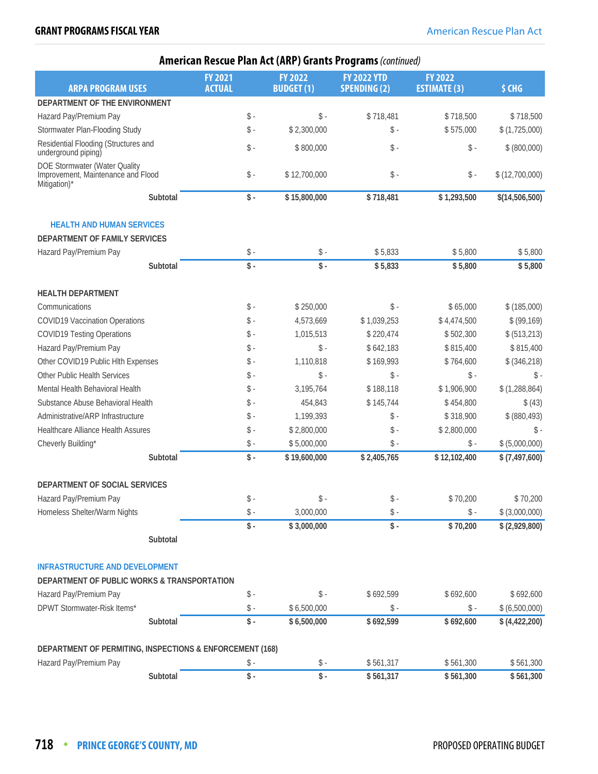| <b>American Rescue Plan Act (ARP) Grants Programs (continued)</b>                   |          |                                 |  |                                    |                                           |                                       |                 |  |
|-------------------------------------------------------------------------------------|----------|---------------------------------|--|------------------------------------|-------------------------------------------|---------------------------------------|-----------------|--|
| <b>ARPA PROGRAM USES</b>                                                            |          | <b>FY 2021</b><br><b>ACTUAL</b> |  | <b>FY 2022</b><br><b>BUDGET(1)</b> | <b>FY 2022 YTD</b><br><b>SPENDING (2)</b> | <b>FY 2022</b><br><b>ESTIMATE (3)</b> | \$ CHG          |  |
| DEPARTMENT OF THE ENVIRONMENT                                                       |          |                                 |  |                                    |                                           |                                       |                 |  |
| Hazard Pay/Premium Pay                                                              |          | $\$ -                           |  | $\mathsf S$ -                      | \$718,481                                 | \$718,500                             | \$718,500       |  |
| Stormwater Plan-Flooding Study                                                      |          | $\hat{\mathbb{S}}$ -            |  | \$2,300,000                        | $\mathsf{\$}$ .                           | \$575,000                             | \$(1,725,000)   |  |
| Residential Flooding (Structures and<br>underground piping)                         |          | $\$ -                           |  | \$800,000                          | $\$ -                                     | $\$ -                                 | \$ (800,000)    |  |
| DOE Stormwater (Water Quality<br>Improvement, Maintenance and Flood<br>Mitigation)* |          | $\$ -                           |  | \$12,700,000                       | $\mathsf{\$}$ .                           | $\$ -                                 | \$(12,700,000)  |  |
|                                                                                     | Subtotal | $\mathsf{\$}$ .                 |  | \$15,800,000                       | \$718,481                                 | \$1,293,500                           | \$(14,506,500)  |  |
| <b>HEALTH AND HUMAN SERVICES</b>                                                    |          |                                 |  |                                    |                                           |                                       |                 |  |
| DEPARTMENT OF FAMILY SERVICES                                                       |          |                                 |  |                                    |                                           |                                       |                 |  |
| Hazard Pay/Premium Pay                                                              |          | $\mathsf{\$}$ -                 |  | $\$ -                              | \$5,833                                   | \$5,800                               | \$5,800         |  |
|                                                                                     | Subtotal | $\mathsf{\$}$ .                 |  | $\hat{\mathcal{S}}$ .              | \$5,833                                   | \$5,800                               | \$5,800         |  |
| <b>HEALTH DEPARTMENT</b>                                                            |          |                                 |  |                                    |                                           |                                       |                 |  |
| Communications                                                                      |          | $\mathsf{\$}$ -                 |  | \$250,000                          | $\mathsf{\$}$ -                           | \$65,000                              | \$(185,000)     |  |
| <b>COVID19 Vaccination Operations</b>                                               |          | $\hat{\mathbb{S}}$ -            |  | 4,573,669                          | \$1,039,253                               | \$4,474,500                           | \$ (99, 169)    |  |
| <b>COVID19 Testing Operations</b>                                                   |          | $\$ -                           |  | 1,015,513                          | \$220,474                                 | \$502,300                             | \$ (513,213)    |  |
| Hazard Pay/Premium Pay                                                              |          | $\mathsf{\$}$ -                 |  | $\mathsf S$ -                      | \$642,183                                 | \$815,400                             | \$815,400       |  |
| Other COVID19 Public Hlth Expenses                                                  |          | $\hat{\mathbb{S}}$ -            |  | 1,110,818                          | \$169,993                                 | \$764,600                             | \$ (346,218)    |  |
| Other Public Health Services                                                        |          | $\mathsf{\$}$ -                 |  | $\mathsf{\$}$ -                    | $\mathsf{\$}$ .                           | $\mathsf{\$}$ -                       | $\mathsf{\$}$ . |  |
| Mental Health Behavioral Health                                                     |          | $\mathsf{\$}$ -                 |  | 3,195,764                          | \$188,118                                 | \$1,906,900                           | \$(1,288,864)   |  |
| Substance Abuse Behavioral Health                                                   |          | $\hat{\mathbb{S}}$ -            |  | 454,843                            | \$145,744                                 | \$454,800                             | \$ (43)         |  |
| Administrative/ARP Infrastructure                                                   |          | $\$ -                           |  | 1,199,393                          | $\$ -                                     | \$318,900                             | \$ (880, 493)   |  |
| Healthcare Alliance Health Assures                                                  |          | $\mathsf{\$}$ .                 |  | \$2,800,000                        | $\$ -                                     | \$2,800,000                           | \$              |  |
| Cheverly Building*                                                                  |          | $\$ -                           |  | \$5,000,000                        | $\$ -                                     | $\mathsf S$ -                         | \$ (5,000,000)  |  |
|                                                                                     | Subtotal | $\frac{1}{2}$ .                 |  | \$19,600,000                       | \$2,405,765                               | \$12,102,400                          | \$ (7,497,600)  |  |
| DEPARTMENT OF SOCIAL SERVICES                                                       |          |                                 |  |                                    |                                           |                                       |                 |  |
| Hazard Pay/Premium Pay                                                              |          | $\$ -                           |  | $\$ -                              | $\$ -                                     | \$70,200                              | \$70,200        |  |
| Homeless Shelter/Warm Nights                                                        |          | $\$ -                           |  | 3,000,000                          | $\mathsf S$ -                             | $\mathsf{\$}$ -                       | \$ (3,000,000)  |  |
|                                                                                     |          | $\sqrt{$}$ .                    |  | \$3,000,000                        | $\sqrt{\frac{4}{1}}$                      | \$70,200                              | \$ (2,929,800)  |  |
|                                                                                     | Subtotal |                                 |  |                                    |                                           |                                       |                 |  |
| <b>INFRASTRUCTURE AND DEVELOPMENT</b>                                               |          |                                 |  |                                    |                                           |                                       |                 |  |
| DEPARTMENT OF PUBLIC WORKS & TRANSPORTATION                                         |          |                                 |  |                                    |                                           |                                       |                 |  |
| Hazard Pay/Premium Pay                                                              |          | $\mathsf{\$}$ -                 |  | $\mathsf{\$}$ -                    | \$692,599                                 | \$692,600                             | \$692,600       |  |
| DPWT Stormwater-Risk Items*                                                         |          | $\$ -                           |  | \$6,500,000                        | $\mathsf{\$}$ .                           | $\mathsf{\$}$ -                       | \$ (6,500,000)  |  |
|                                                                                     | Subtotal | $\$ -                           |  | \$6,500,000                        | \$692,599                                 | \$692,600                             | \$(4,422,200)   |  |
| DEPARTMENT OF PERMITING, INSPECTIONS & ENFORCEMENT (168)                            |          |                                 |  |                                    |                                           |                                       |                 |  |
| Hazard Pay/Premium Pay                                                              |          | $\$ -                           |  | $\$ -                              | \$561,317                                 | \$561,300                             | \$561,300       |  |
|                                                                                     | Subtotal | $\$ -                           |  | $\$ -                              | \$561,317                                 | \$561,300                             | \$561,300       |  |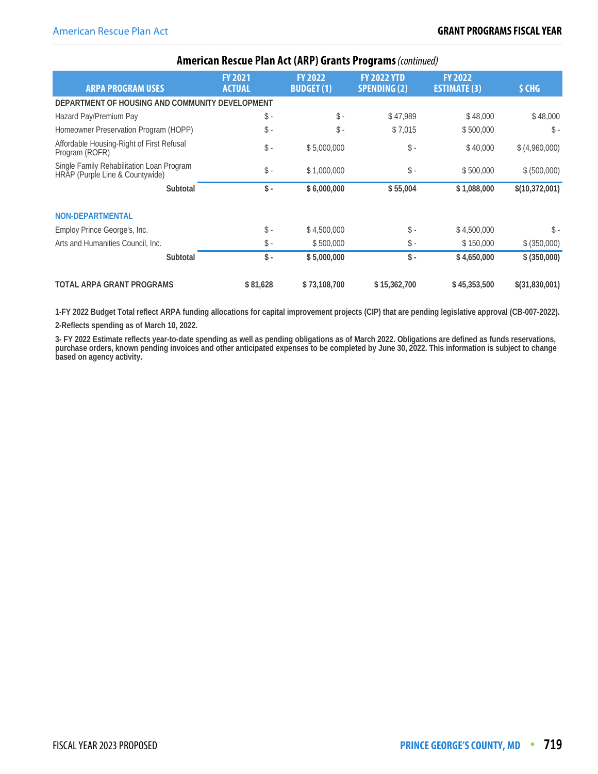|                                                                              |                                 |                                    | AMCROWN RCSCAC FROM ACC (ART ) STANG FROM MISS (COMMON) |                                       |                 |
|------------------------------------------------------------------------------|---------------------------------|------------------------------------|---------------------------------------------------------|---------------------------------------|-----------------|
| <b>ARPA PROGRAM USES</b>                                                     | <b>FY 2021</b><br><b>ACTUAL</b> | <b>FY 2022</b><br><b>BUDGET(1)</b> | <b>FY 2022 YTD</b><br><b>SPENDING (2)</b>               | <b>FY 2022</b><br><b>ESTIMATE (3)</b> | \$ CHG          |
| DEPARTMENT OF HOUSING AND COMMUNITY DEVELOPMENT                              |                                 |                                    |                                                         |                                       |                 |
| Hazard Pay/Premium Pay                                                       | $\mathsf{\$}$ .                 | $\mathsf{\$}$ .                    | \$47,989                                                | \$48,000                              | \$48,000        |
| Homeowner Preservation Program (HOPP)                                        | $\mathsf{\$}$ .                 | $\hat{\mathbb{S}}$ -               | \$7,015                                                 | \$500,000                             | $\mathsf{\$}$ . |
| Affordable Housing-Right of First Refusal<br>Program (ROFR)                  | $\mathsf{\$}$ .                 | \$5,000,000                        | $\$ -                                                   | \$40,000                              | \$ (4,960,000)  |
| Single Family Rehabilitation Loan Program<br>HRAP (Purple Line & Countywide) | $\mathsf{\$}$ .                 | \$1,000,000                        | $\$ -                                                   | \$500,000                             | \$ (500,000)    |
| Subtotal                                                                     | $\mathsf{\$}$ .                 | \$6,000,000                        | \$55,004                                                | \$1,088,000                           | \$(10,372,001)  |
| <b>NON-DEPARTMENTAL</b>                                                      |                                 |                                    |                                                         |                                       |                 |
| Employ Prince George's, Inc.                                                 | $\mathsf{\$}$ -                 | \$4,500,000                        | $\mathsf{\$}$ .                                         | \$4,500,000                           | $\mathsf{\$}$ . |
| Arts and Humanities Council, Inc.                                            | $\mathsf{\$}$ -                 | \$500,000                          | $\frac{1}{2}$ .                                         | \$150,000                             | \$ (350,000)    |
| Subtotal                                                                     | $\mathsf{\$}$ .                 | \$5,000,000                        | $\mathsf{\$}$ .                                         | \$4,650,000                           | \$ (350,000)    |
| <b>TOTAL ARPA GRANT PROGRAMS</b>                                             | \$81,628                        | \$73,108,700                       | \$15,362,700                                            | \$45,353,500                          | \$(31,830,001)  |

#### **American Rescue Plan Act (ARP) Grants Programs** (continued)

**1-FY 2022 Budget Total reflect ARPA funding allocations for capital improvement projects (CIP) that are pending legislative approval (CB-007-2022).**

**2-Reflects spending as of March 10, 2022.**

**3- FY 2022 Estimate reflects year-to-date spending as well as pending obligations as of March 2022. Obligations are defined as funds reservations, purchase orders, known pending invoices and other anticipated expenses to be completed by June 30, 2022. This information is subject to change based on agency activity.**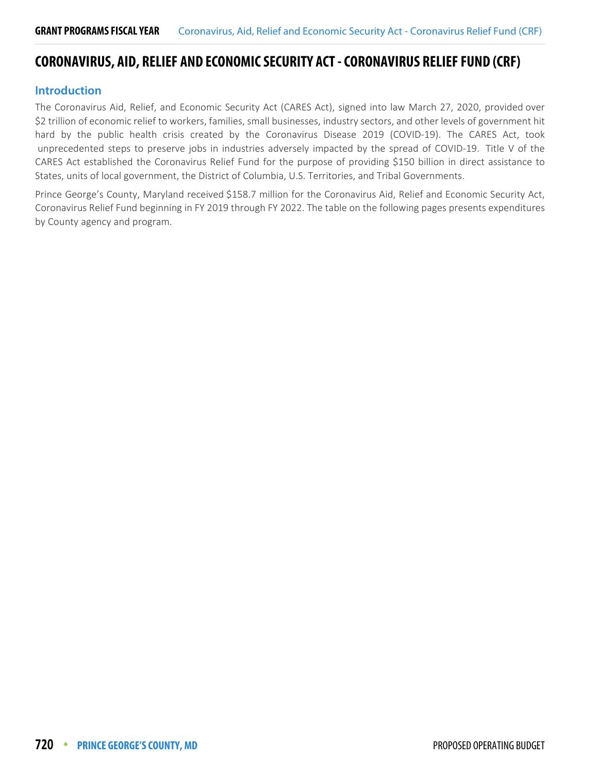# <span id="page-23-0"></span>**CORONAVIRUS, AID, RELIEF AND ECONOMIC SECURITY ACT - CORONAVIRUS RELIEF FUND (CRF)**

#### **Introduction**

The Coronavirus Aid, Relief, and Economic Security Act (CARES Act), signed into law March 27, 2020, provided over \$2 trillion of economic relief to workers, families, small businesses, industry sectors, and other levels of government hit hard by the public health crisis created by the Coronavirus Disease 2019 (COVID-19). The CARES Act, took unprecedented steps to preserve jobs in industries adversely impacted by the spread of COVID-19. Title V of the CARES Act established the Coronavirus Relief Fund for the purpose of providing \$150 billion in direct assistance to States, units of local government, the District of Columbia, U.S. Territories, and Tribal Governments.

Prince George's County, Maryland received \$158.7 million for the Coronavirus Aid, Relief and Economic Security Act, Coronavirus Relief Fund beginning in FY 2019 through FY 2022. The table on the following pages presents expenditures by County agency and program.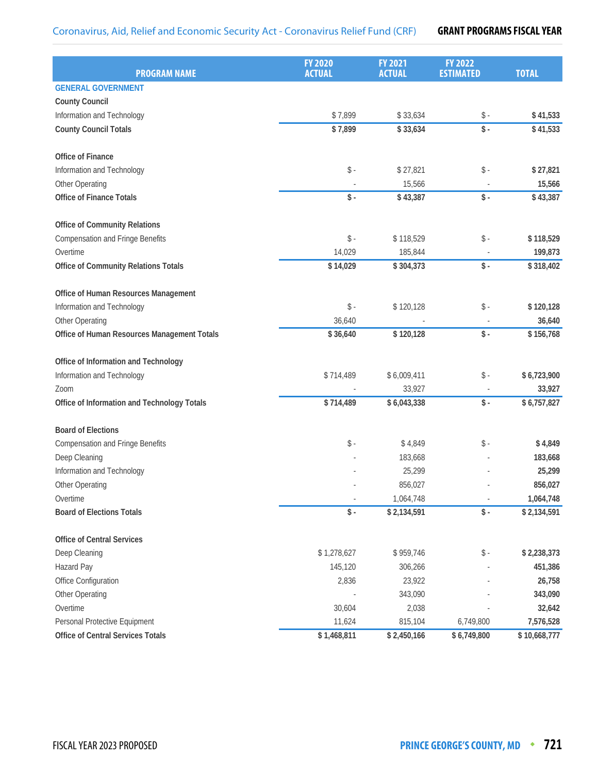| <b>PROGRAM NAME</b>                         | <b>FY 2020</b><br><b>ACTUAL</b> | <b>FY 2021</b><br><b>ACTUAL</b> | <b>FY 2022</b><br><b>ESTIMATED</b> | <b>TOTAL</b> |
|---------------------------------------------|---------------------------------|---------------------------------|------------------------------------|--------------|
| <b>GENERAL GOVERNMENT</b>                   |                                 |                                 |                                    |              |
| <b>County Council</b>                       |                                 |                                 |                                    |              |
| Information and Technology                  | \$7,899                         | \$33,634                        | $\$ -                              | \$41,533     |
| <b>County Council Totals</b>                | \$7,899                         | \$33,634                        | $\frac{1}{2}$ .                    | \$41,533     |
| <b>Office of Finance</b>                    |                                 |                                 |                                    |              |
| Information and Technology                  | $\$ -                           | \$27,821                        | $\$ -                              | \$27,821     |
| Other Operating                             |                                 | 15,566                          |                                    | 15,566       |
| <b>Office of Finance Totals</b>             | $\sqrt{$}$ .                    | \$43,387                        | $\sqrt{$}$ -                       | \$43,387     |
| <b>Office of Community Relations</b>        |                                 |                                 |                                    |              |
| <b>Compensation and Fringe Benefits</b>     | $\$ -                           | \$118,529                       | $\$ -                              | \$118,529    |
| Overtime                                    | 14,029                          | 185,844                         |                                    | 199,873      |
| Office of Community Relations Totals        | \$14,029                        | \$304,373                       | $\$ -                              | \$318,402    |
| Office of Human Resources Management        |                                 |                                 |                                    |              |
| Information and Technology                  | $\$ -                           | \$120,128                       | $\mathsf S$ -                      | \$120,128    |
| Other Operating                             | 36,640                          |                                 |                                    | 36,640       |
| Office of Human Resources Management Totals | \$36,640                        | \$120,128                       | $\mathsf{\$}$ .                    | \$156,768    |
| Office of Information and Technology        |                                 |                                 |                                    |              |
| Information and Technology                  | \$714,489                       | \$6,009,411                     | $\$ -                              | \$6,723,900  |
| Zoom                                        |                                 | 33,927                          |                                    | 33,927       |
| Office of Information and Technology Totals | \$714,489                       | \$6,043,338                     | $\$ -                              | \$6,757,827  |
| <b>Board of Elections</b>                   |                                 |                                 |                                    |              |
| <b>Compensation and Fringe Benefits</b>     | $\$ -                           | \$4,849                         | $\mathsf{\$}$ .                    | \$4,849      |
| Deep Cleaning                               |                                 | 183,668                         |                                    | 183,668      |
| Information and Technology                  |                                 | 25,299                          |                                    | 25,299       |
| Other Operating                             |                                 | 856,027                         |                                    | 856,027      |
| Overtime                                    |                                 | 1,064,748                       |                                    | 1,064,748    |
| <b>Board of Elections Totals</b>            | $\mathsf S$ -                   | \$2,134,591                     | $\$ -                              | \$2,134,591  |
| <b>Office of Central Services</b>           |                                 |                                 |                                    |              |
| Deep Cleaning                               | \$1,278,627                     | \$959,746                       | $\$ -                              | \$2,238,373  |
| Hazard Pay                                  | 145,120                         | 306,266                         |                                    | 451,386      |
| Office Configuration                        | 2,836                           | 23,922                          |                                    | 26,758       |
| Other Operating                             |                                 | 343,090                         |                                    | 343,090      |
| Overtime                                    | 30,604                          | 2,038                           |                                    | 32,642       |
| Personal Protective Equipment               | 11,624                          | 815,104                         | 6,749,800                          | 7,576,528    |
| Office of Central Services Totals           | \$1,468,811                     | \$2,450,166                     | \$6,749,800                        | \$10,668,777 |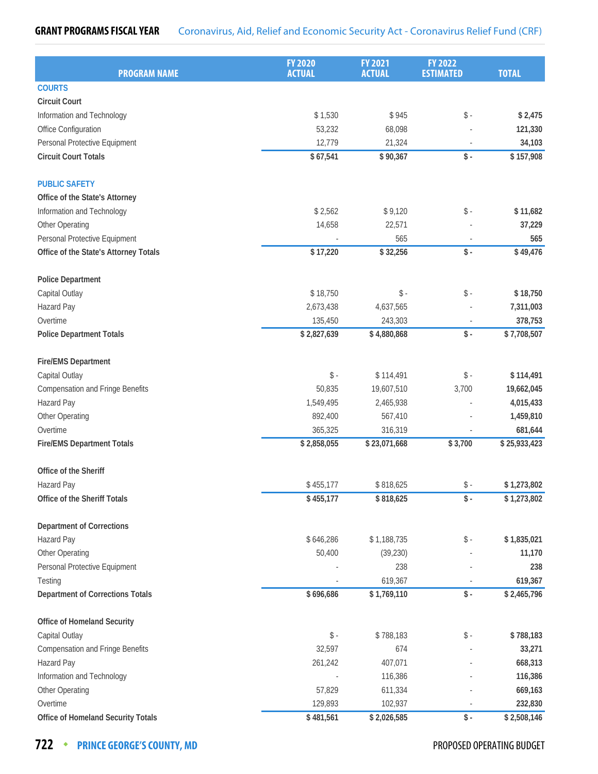#### **GRANT PROGRAMS FISCAL YEAR** Coronavirus, Aid, Relief and Economic Security Act - Coronavirus Relief Fund (CRF)

| <b>PROGRAM NAME</b>                     | <b>FY 2020</b><br><b>ACTUAL</b> | <b>FY 2021</b><br><b>ACTUAL</b> | <b>FY 2022</b><br><b>ESTIMATED</b> | <b>TOTAL</b> |
|-----------------------------------------|---------------------------------|---------------------------------|------------------------------------|--------------|
| <b>COURTS</b>                           |                                 |                                 |                                    |              |
| <b>Circuit Court</b>                    |                                 |                                 |                                    |              |
| Information and Technology              | \$1,530                         | \$945                           | $\$ -                              | \$2,475      |
| Office Configuration                    | 53,232                          | 68,098                          |                                    | 121,330      |
| Personal Protective Equipment           | 12,779                          | 21,324                          |                                    | 34,103       |
| <b>Circuit Court Totals</b>             | \$67,541                        | \$90,367                        | $\sqrt{$}$ -                       | \$157,908    |
| <b>PUBLIC SAFETY</b>                    |                                 |                                 |                                    |              |
| Office of the State's Attorney          |                                 |                                 |                                    |              |
| Information and Technology              | \$2,562                         | \$9,120                         | $\$ -                              | \$11,682     |
| Other Operating                         | 14,658                          | 22,571                          |                                    | 37,229       |
| Personal Protective Equipment           |                                 | 565                             |                                    | 565          |
| Office of the State's Attorney Totals   | \$17,220                        | \$32,256                        | $\$ -                              | \$49,476     |
| <b>Police Department</b>                |                                 |                                 |                                    |              |
| Capital Outlay                          | \$18,750                        | $\$ -                           | $\$ -                              | \$18,750     |
| Hazard Pay                              | 2,673,438                       | 4,637,565                       |                                    | 7,311,003    |
| Overtime                                | 135,450                         | 243,303                         |                                    | 378,753      |
| <b>Police Department Totals</b>         | \$2,827,639                     | \$4,880,868                     | $\$ -                              | \$7,708,507  |
| <b>Fire/EMS Department</b>              |                                 |                                 |                                    |              |
| Capital Outlay                          | $\mathsf S$ -                   | \$114,491                       | $\$ -                              | \$114,491    |
| <b>Compensation and Fringe Benefits</b> | 50,835                          | 19,607,510                      | 3,700                              | 19,662,045   |
| Hazard Pay                              | 1,549,495                       | 2,465,938                       |                                    | 4,015,433    |
| Other Operating                         | 892,400                         | 567,410                         |                                    | 1,459,810    |
| Overtime                                | 365,325                         | 316,319                         |                                    | 681,644      |
| <b>Fire/EMS Department Totals</b>       | \$2,858,055                     | \$23,071,668                    | \$3,700                            | \$25,933,423 |
| Office of the Sheriff                   |                                 |                                 |                                    |              |
| Hazard Pay                              | \$455,177                       | \$818,625                       | $\$ -                              | \$1,273,802  |
| Office of the Sheriff Totals            | \$455,177                       | \$818,625                       | $\$ -                              | \$1,273,802  |
| <b>Department of Corrections</b>        |                                 |                                 |                                    |              |
| Hazard Pay                              | \$646,286                       | \$1,188,735                     | $\$ -                              | \$1,835,021  |
| Other Operating                         | 50,400                          | (39, 230)                       |                                    | 11,170       |
| Personal Protective Equipment           |                                 | 238                             |                                    | 238          |
| Testing                                 |                                 | 619,367                         |                                    | 619,367      |
| <b>Department of Corrections Totals</b> | \$696,686                       | \$1,769,110                     | $\$ -                              | \$2,465,796  |
| Office of Homeland Security             |                                 |                                 |                                    |              |
| Capital Outlay                          | $\$ -                           | \$788,183                       | $\frac{1}{2}$ -                    | \$788,183    |
| <b>Compensation and Fringe Benefits</b> | 32,597                          | 674                             |                                    | 33,271       |
| Hazard Pay                              | 261,242                         | 407,071                         |                                    | 668,313      |
| Information and Technology              |                                 | 116,386                         |                                    | 116,386      |
| Other Operating                         | 57,829                          | 611,334                         |                                    | 669,163      |
| Overtime                                | 129,893                         | 102,937                         |                                    | 232,830      |
| Office of Homeland Security Totals      | \$481,561                       | \$2,026,585                     | $\mathsf S$ -                      | \$2,508,146  |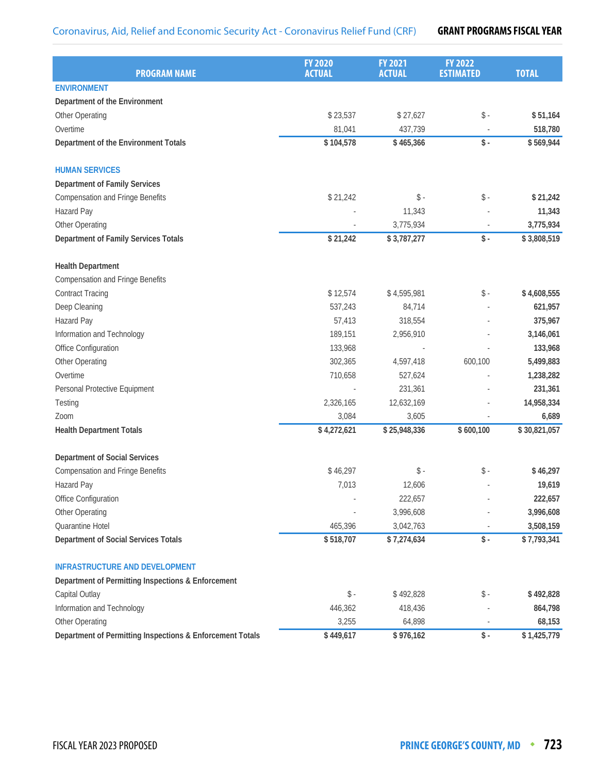| <b>PROGRAM NAME</b>                                       | <b>FY 2020</b><br><b>ACTUAL</b> | <b>FY 2021</b><br><b>ACTUAL</b> | <b>FY 2022</b><br><b>ESTIMATED</b> | <b>TOTAL</b> |
|-----------------------------------------------------------|---------------------------------|---------------------------------|------------------------------------|--------------|
| <b>ENVIRONMENT</b>                                        |                                 |                                 |                                    |              |
| Department of the Environment                             |                                 |                                 |                                    |              |
| Other Operating                                           | \$23,537                        | \$27,627                        | $\mathsf{\$}$ .                    | \$51,164     |
| Overtime                                                  | 81,041                          | 437,739                         |                                    | 518,780      |
| Department of the Environment Totals                      | \$104,578                       | \$465,366                       | $\mathsf{\$}$ .                    | \$569,944    |
| <b>HUMAN SERVICES</b>                                     |                                 |                                 |                                    |              |
| <b>Department of Family Services</b>                      |                                 |                                 |                                    |              |
| <b>Compensation and Fringe Benefits</b>                   | \$21,242                        | $\mathsf{\$}$ -                 | $\mathsf{\$}$ .                    | \$21,242     |
| Hazard Pay                                                |                                 | 11,343                          |                                    | 11,343       |
| Other Operating                                           |                                 | 3,775,934                       |                                    | 3,775,934    |
| Department of Family Services Totals                      | \$21,242                        | \$3,787,277                     | $\mathsf{\$}$ .                    | \$3,808,519  |
| <b>Health Department</b>                                  |                                 |                                 |                                    |              |
| <b>Compensation and Fringe Benefits</b>                   |                                 |                                 |                                    |              |
| <b>Contract Tracing</b>                                   | \$12,574                        | \$4,595,981                     | $\mathsf{\$}$ .                    | \$4,608,555  |
| Deep Cleaning                                             | 537,243                         | 84,714                          |                                    | 621,957      |
| Hazard Pay                                                | 57,413                          | 318,554                         |                                    | 375,967      |
| Information and Technology                                | 189,151                         | 2,956,910                       |                                    | 3,146,061    |
| Office Configuration                                      | 133,968                         |                                 |                                    | 133,968      |
| Other Operating                                           | 302,365                         | 4,597,418                       | 600,100                            | 5,499,883    |
| Overtime                                                  | 710,658                         | 527,624                         |                                    | 1,238,282    |
| Personal Protective Equipment                             |                                 | 231,361                         |                                    | 231,361      |
| Testing                                                   | 2,326,165                       | 12,632,169                      |                                    | 14,958,334   |
| Zoom                                                      | 3,084                           | 3,605                           |                                    | 6,689        |
| <b>Health Department Totals</b>                           | \$4,272,621                     | \$25,948,336                    | \$600,100                          | \$30,821,057 |
| <b>Department of Social Services</b>                      |                                 |                                 |                                    |              |
| <b>Compensation and Fringe Benefits</b>                   | \$46,297                        | $\mathsf{\$}$ .                 | $\mathsf{\$}$ .                    | \$46,297     |
| Hazard Pay                                                | 7,013                           | 12,606                          |                                    | 19,619       |
| Office Configuration                                      |                                 | 222,657                         |                                    | 222,657      |
| Other Operating                                           |                                 | 3,996,608                       |                                    | 3,996,608    |
| Quarantine Hotel                                          | 465,396                         | 3,042,763                       |                                    | 3,508,159    |
| Department of Social Services Totals                      | \$518,707                       | \$7,274,634                     | $\$ -                              | \$7,793,341  |
| <b>INFRASTRUCTURE AND DEVELOPMENT</b>                     |                                 |                                 |                                    |              |
| Department of Permitting Inspections & Enforcement        |                                 |                                 |                                    |              |
| Capital Outlay                                            | $\$ -                           | \$492,828                       | \$ -                               | \$492,828    |
| Information and Technology                                | 446,362                         | 418,436                         |                                    | 864,798      |
| Other Operating                                           | 3,255                           | 64,898                          |                                    | 68,153       |
| Department of Permitting Inspections & Enforcement Totals | \$449,617                       | \$976,162                       | \$-                                | \$1,425,779  |